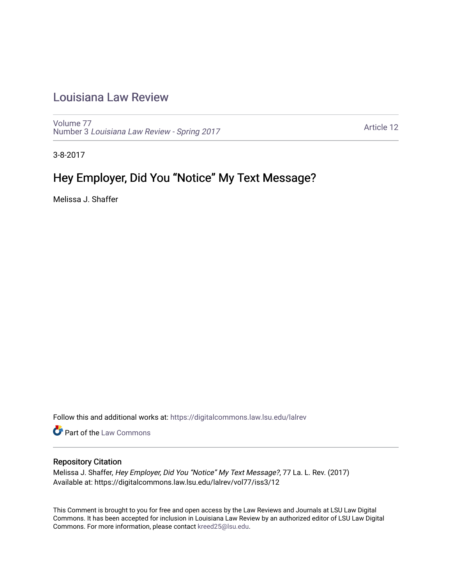# [Louisiana Law Review](https://digitalcommons.law.lsu.edu/lalrev)

[Volume 77](https://digitalcommons.law.lsu.edu/lalrev/vol77) Number 3 [Louisiana Law Review - Spring 2017](https://digitalcommons.law.lsu.edu/lalrev/vol77/iss3) 

[Article 12](https://digitalcommons.law.lsu.edu/lalrev/vol77/iss3/12) 

3-8-2017

# Hey Employer, Did You "Notice" My Text Message?

Melissa J. Shaffer

Follow this and additional works at: [https://digitalcommons.law.lsu.edu/lalrev](https://digitalcommons.law.lsu.edu/lalrev?utm_source=digitalcommons.law.lsu.edu%2Flalrev%2Fvol77%2Fiss3%2F12&utm_medium=PDF&utm_campaign=PDFCoverPages)

Part of the [Law Commons](http://network.bepress.com/hgg/discipline/578?utm_source=digitalcommons.law.lsu.edu%2Flalrev%2Fvol77%2Fiss3%2F12&utm_medium=PDF&utm_campaign=PDFCoverPages)

# Repository Citation

Melissa J. Shaffer, Hey Employer, Did You "Notice" My Text Message?, 77 La. L. Rev. (2017) Available at: https://digitalcommons.law.lsu.edu/lalrev/vol77/iss3/12

This Comment is brought to you for free and open access by the Law Reviews and Journals at LSU Law Digital Commons. It has been accepted for inclusion in Louisiana Law Review by an authorized editor of LSU Law Digital Commons. For more information, please contact [kreed25@lsu.edu](mailto:kreed25@lsu.edu).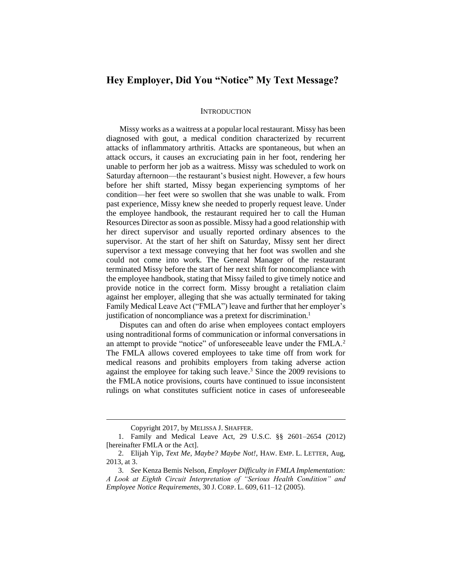# **Hey Employer, Did You "Notice" My Text Message?**

#### **INTRODUCTION**

Missy works as a waitress at a popular local restaurant. Missy has been diagnosed with gout, a medical condition characterized by recurrent attacks of inflammatory arthritis. Attacks are spontaneous, but when an attack occurs, it causes an excruciating pain in her foot, rendering her unable to perform her job as a waitress. Missy was scheduled to work on Saturday afternoon—the restaurant's busiest night. However, a few hours before her shift started, Missy began experiencing symptoms of her condition––her feet were so swollen that she was unable to walk. From past experience, Missy knew she needed to properly request leave. Under the employee handbook, the restaurant required her to call the Human Resources Director as soon as possible. Missy had a good relationship with her direct supervisor and usually reported ordinary absences to the supervisor. At the start of her shift on Saturday, Missy sent her direct supervisor a text message conveying that her foot was swollen and she could not come into work. The General Manager of the restaurant terminated Missy before the start of her next shift for noncompliance with the employee handbook, stating that Missy failed to give timely notice and provide notice in the correct form. Missy brought a retaliation claim against her employer, alleging that she was actually terminated for taking Family Medical Leave Act ("FMLA") leave and further that her employer's justification of noncompliance was a pretext for discrimination.<sup>1</sup>

Disputes can and often do arise when employees contact employers using nontraditional forms of communication or informal conversations in an attempt to provide "notice" of unforeseeable leave under the FMLA.<sup>2</sup> The FMLA allows covered employees to take time off from work for medical reasons and prohibits employers from taking adverse action against the employee for taking such leave.<sup>3</sup> Since the 2009 revisions to the FMLA notice provisions, courts have continued to issue inconsistent rulings on what constitutes sufficient notice in cases of unforeseeable

Copyright 2017, by MELISSA J. SHAFFER.

<sup>1.</sup> Family and Medical Leave Act, 29 U.S.C. §§ 2601[–2654](https://a.next.westlaw.com/Link/Document/FullText?findType=L&pubNum=1000546&cite=29USCAS2654&originatingDoc=Ic91230573e1311e38578f7ccc38dcbee&refType=LQ&originationContext=document&transitionType=DocumentItem&contextData=(sc.RelatedInfo)) (2012) [hereinafter FMLA or the Act].

<sup>2.</sup> Elijah Yip, *Text Me, Maybe? Maybe Not!*, HAW. EMP. L. LETTER, Aug, 2013, at 3.

<sup>3.</sup> *See* Kenza Bemis Nelson, *Employer Difficulty in FMLA Implementation: A Look at Eighth Circuit Interpretation of "Serious Health Condition" and Employee Notice Requirements*, 30 J. CORP. L. 609, 611–12 (2005).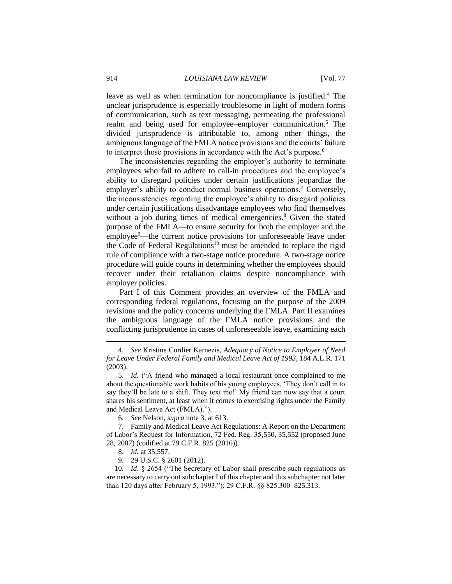leave as well as when termination for noncompliance is justified.<sup>4</sup> The unclear jurisprudence is especially troublesome in light of modern forms of communication, such as text messaging, permeating the professional realm and being used for employee–employer communication.<sup>5</sup> The divided jurisprudence is attributable to, among other things, the ambiguous language of the FMLA notice provisions and the courts' failure to interpret those provisions in accordance with the Act's purpose.<sup>6</sup>

The inconsistencies regarding the employer's authority to terminate employees who fail to adhere to call-in procedures and the employee's ability to disregard policies under certain justifications jeopardize the employer's ability to conduct normal business operations.<sup>7</sup> Conversely, the inconsistencies regarding the employee's ability to disregard policies under certain justifications disadvantage employees who find themselves without a job during times of medical emergencies.<sup>8</sup> Given the stated purpose of the FMLA—to ensure security for both the employer and the employee<sup>9</sup>—the current notice provisions for unforeseeable leave under the Code of Federal Regulations<sup>10</sup> must be amended to replace the rigid rule of compliance with a two-stage notice procedure. A two-stage notice procedure will guide courts in determining whether the employees should recover under their retaliation claims despite noncompliance with employer policies.

Part I of this Comment provides an overview of the FMLA and corresponding federal regulations, focusing on the purpose of the 2009 revisions and the policy concerns underlying the FMLA. Part II examines the ambiguous language of the FMLA notice provisions and the conflicting jurisprudence in cases of unforeseeable leave, examining each

 $\overline{a}$ 

9. 29 U.S.C. § 2601 (2012).

10. *Id*. § 2654 ("The Secretary of Labor shall prescribe such regulations as are necessary to carry out subchapter I of this chapter and this subchapter not later than 120 days after February 5, 1993."); 29 C.F.R. §§ 825.300–825.313.

<sup>4.</sup> *See* Kristine Cordier Karnezis, *Adequacy of Notice to Employer of Need for Leave Under Federal Family and Medical Leave Act of 1993*, 184 A.L.R. 171 (2003).

<sup>5.</sup> *Id.* ("A friend who managed a local restaurant once complained to me about the questionable work habits of his young employees. 'They don't call in to say they'll be late to a shift. They text me!' My friend can now say that a court shares his sentiment, at least when it comes to exercising rights under the Family and Medical Leave Act (FMLA).").

<sup>6.</sup> *See* Nelson, *supra* note 3, at 613.

<sup>7.</sup> Family and Medical Leave Act Regulations: A Report on the Department of Labor's Request for Information, 72 Fed. Reg. 35,550, 35,552 (proposed June 28, 2007) (codified at 79 C.F.R. 825 (2016)).

<sup>8.</sup> *Id.* at 35,557.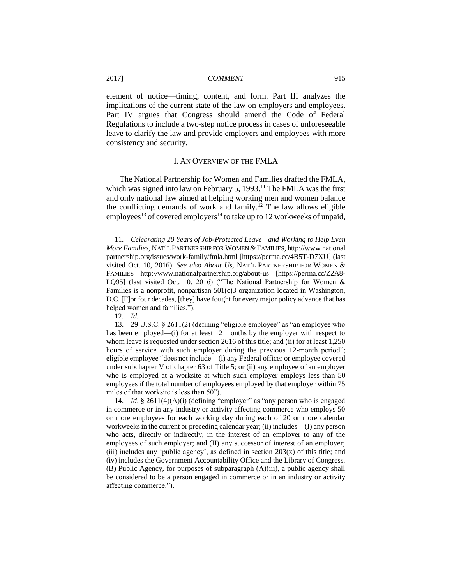element of notice—timing, content, and form. Part III analyzes the implications of the current state of the law on employers and employees. Part IV argues that Congress should amend the Code of Federal Regulations to include a two-step notice process in cases of unforeseeable leave to clarify the law and provide employers and employees with more consistency and security.

#### I. AN OVERVIEW OF THE FMLA

The National Partnership for Women and Families drafted the FMLA, which was signed into law on February 5, 1993.<sup>11</sup> The FMLA was the first and only national law aimed at helping working men and women balance the conflicting demands of work and family.<sup>12</sup> The law allows eligible employees<sup>13</sup> of covered employers<sup>14</sup> to take up to 12 workweeks of unpaid,

12. *Id.*

 $\overline{a}$ 

13. 29 U.S.C. § 2611(2) (defining "eligible employee" as "an employee who has been employed—(i) for at least 12 months by the employer with respect to whom leave is requested under section 2616 of this title; and (ii) for at least 1,250 hours of service with such employer during the previous 12-month period"; eligible employee "does not include—(i) any Federal officer or employee covered under subchapter V of chapter 63 of Title 5; or (ii) any employee of an employer who is employed at a worksite at which such employer employs less than 50 employees if the total number of employees employed by that employer within 75 miles of that worksite is less than 50").

14. *Id*. [§ 2611\(](https://a.next.westlaw.com/Link/Document/FullText?findType=L&pubNum=1000546&cite=29USCAS2601&originatingDoc=Ic91230573e1311e38578f7ccc38dcbee&refType=LQ&originationContext=document&transitionType=DocumentItem&contextData=(sc.RelatedInfo))4)(A)(i) (defining "employer" as "any person who is engaged in commerce or in any industry or activity affecting commerce who employs 50 or more employees for each working day during each of 20 or more calendar workweeks in the current or preceding calendar year; (ii) includes—(I) any person who acts, directly or indirectly, in the interest of an employer to any of the employees of such employer; and (II) any successor of interest of an employer; (iii) includes any 'public agency', as defined in section  $203(x)$  of this title; and (iv) includes the Government Accountability Office and the Library of Congress. (B) Public Agency, for purposes of subparagraph (A)(iii), a public agency shall be considered to be a person engaged in commerce or in an industry or activity affecting commerce.").

<sup>11.</sup> *Celebrating 20 Years of Job-Protected Leave—and Working to Help Even More Families*, NAT'L PARTNERSHIP FOR WOMEN &FAMILIES, http://www.national partnership.org/issues/work-family/fmla.html [https://perma.cc/4B5T-D7XU] (last visited Oct. 10, 2016). *See also About Us*, NAT'L PARTNERSHIP FOR WOMEN & FAMILIES http://www.nationalpartnership.org/about-us [https://perma.cc/Z2A8- LQ95] (last visited Oct. 10, 2016) ("The National Partnership for Women & Families is a nonprofit, nonpartisan 501(c)3 organization located in Washington, D.C. [F]or four decades, [they] have fought for every major policy advance that has helped women and families.").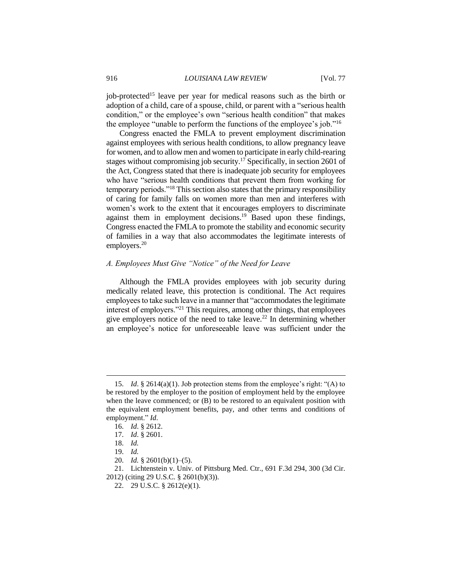job-protected<sup>15</sup> leave per year for medical reasons such as the birth or adoption of a child, care of a spouse, child, or parent with a "serious health condition," or the employee's own "serious health condition" that makes the employee "unable to perform the functions of the employee's job."<sup>16</sup>

Congress enacted the FMLA to prevent employment discrimination against employees with serious health conditions, to allow pregnancy leave for women, and to allow men and women to participate in early child-rearing stages without compromising job security.<sup>17</sup> Specifically, in section 2601 of the Act, Congress stated that there is inadequate job security for employees who have "serious health conditions that prevent them from working for temporary periods."<sup>18</sup> This section also states that the primary responsibility of caring for family falls on women more than men and interferes with women's work to the extent that it encourages employers to discriminate against them in employment decisions.<sup>19</sup> Based upon these findings, Congress enacted the FMLA to promote the stability and economic security of families in a way that also accommodates the legitimate interests of employers.<sup>20</sup>

# *A. Employees Must Give "Notice" of the Need for Leave*

Although the FMLA provides employees with job security during medically related leave, this protection is conditional. The Act requires employees to take such leave in a manner that "accommodates the legitimate interest of employers."<sup>21</sup> This requires, among other things, that employees give employers notice of the need to take leave.<sup>22</sup> In determining whether an employee's notice for unforeseeable leave was sufficient under the

<sup>15.</sup> *Id*. § 2614(a)(1). Job protection stems from the employee's right: "(A) to be restored by the employer to the position of employment held by the employee when the leave commenced; or (B) to be restored to an equivalent position with the equivalent employment benefits, pay, and other terms and conditions of employment." *Id*.

<sup>16.</sup> *Id*. § 2612.

<sup>17.</sup> *Id*. § 2601.

<sup>18.</sup> *Id.*

<sup>19.</sup> *Id.*

<sup>20.</sup> *Id.* § 2601(b)(1)–(5).

<sup>21.</sup> Lichtenstein v. Univ. of Pittsburg Med. Ctr., 691 F.3d 294, 300 (3d Cir. 2012) (citing 29 U.S.C. § 2601(b)(3)).

<sup>22.</sup> 29 U.S.C. § 2612(e)(1).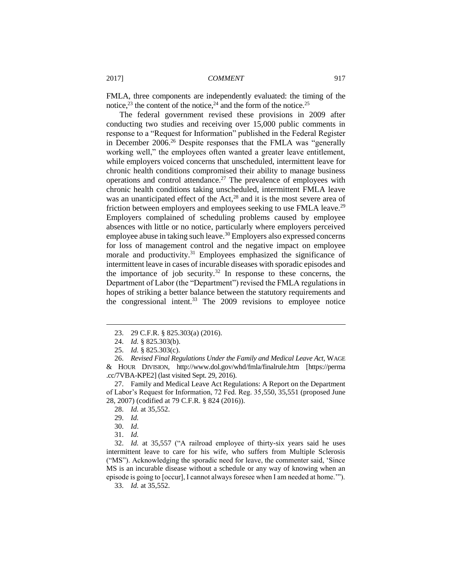FMLA, three components are independently evaluated: the timing of the notice,<sup>23</sup> the content of the notice,<sup>24</sup> and the form of the notice.<sup>25</sup>

The federal government revised these provisions in 2009 after conducting two studies and receiving over 15,000 public comments in response to a "Request for Information" published in the Federal Register in December 2006.<sup>26</sup> Despite responses that the FMLA was "generally working well," the employees often wanted a greater leave entitlement, while employers voiced concerns that unscheduled, intermittent leave for chronic health conditions compromised their ability to manage business operations and control attendance.<sup>27</sup> The prevalence of employees with chronic health conditions taking unscheduled, intermittent FMLA leave was an unanticipated effect of the  $Act<sub>1</sub><sup>28</sup>$  and it is the most severe area of friction between employers and employees seeking to use FMLA leave.<sup>29</sup> Employers complained of scheduling problems caused by employee absences with little or no notice, particularly where employers perceived employee abuse in taking such leave.<sup>30</sup> Employers also expressed concerns for loss of management control and the negative impact on employee morale and productivity.<sup>31</sup> Employees emphasized the significance of intermittent leave in cases of incurable diseases with sporadic episodes and the importance of job security.<sup>32</sup> In response to these concerns, the Department of Labor (the "Department") revised the FMLA regulations in hopes of striking a better balance between the statutory requirements and the congressional intent. $33$  The 2009 revisions to employee notice

 $\overline{a}$ 

32. *Id.* at 35,557 ("A railroad employee of thirty-six years said he uses intermittent leave to care for his wife, who suffers from Multiple Sclerosis ("MS"). Acknowledging the sporadic need for leave, the commenter said, 'Since MS is an incurable disease without a schedule or any way of knowing when an episode is going to [occur], I cannot always foresee when I am needed at home.'").

33. *Id.* at 35,552.

<sup>23.</sup> 29 C.F.R. § 825.303(a) (2016).

<sup>24.</sup> *Id.* § 825.303(b).

<sup>25.</sup> *Id.* § 825.303(c).

<sup>26.</sup> *Revised Final Regulations Under the Family and Medical Leave Act*, WAGE & HOUR DIVISION, http://www.dol.gov/whd/fmla/finalrule.htm [https://perma .cc/7VBA-KPE2] (last visited Sept. 29, 2016).

<sup>27.</sup> Family and Medical Leave Act Regulations: A Report on the Department of Labor's Request for Information, 72 Fed. Reg. 35,550, 35,551 (proposed June 28, 2007) (codified at 79 C.F.R. § 824 (2016)).

<sup>28.</sup> *Id.* at 35,552.

<sup>29.</sup> *Id.*

<sup>30.</sup> *Id*.

<sup>31.</sup> *Id.*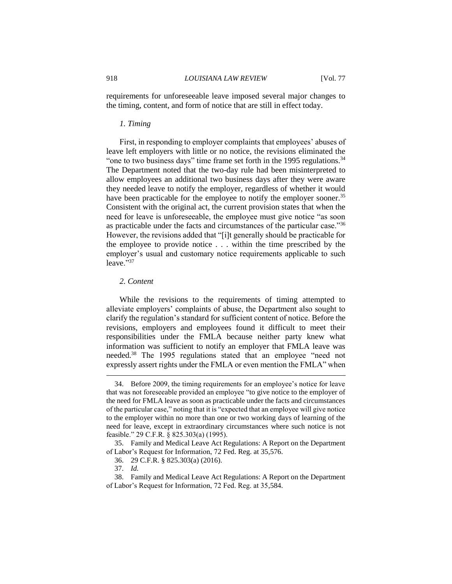requirements for unforeseeable leave imposed several major changes to the timing, content, and form of notice that are still in effect today.

#### *1. Timing*

First, in responding to employer complaints that employees' abuses of leave left employers with little or no notice, the revisions eliminated the "one to two business days" time frame set forth in the 1995 regulations.<sup>34</sup> The Department noted that the two-day rule had been misinterpreted to allow employees an additional two business days after they were aware they needed leave to notify the employer, regardless of whether it would have been practicable for the employee to notify the employer sooner.<sup>35</sup> Consistent with the original act, the current provision states that when the need for leave is unforeseeable, the employee must give notice "as soon as practicable under the facts and circumstances of the particular case."<sup>36</sup> However, the revisions added that "[i]t generally should be practicable for the employee to provide notice . . . within the time prescribed by the employer's usual and customary notice requirements applicable to such leave."37

#### *2. Content*

While the revisions to the requirements of timing attempted to alleviate employers' complaints of abuse, the Department also sought to clarify the regulation's standard for sufficient content of notice. Before the revisions, employers and employees found it difficult to meet their responsibilities under the FMLA because neither party knew what information was sufficient to notify an employer that FMLA leave was needed.<sup>38</sup> The 1995 regulations stated that an employee "need not expressly assert rights under the FMLA or even mention the FMLA" when

<sup>34.</sup> Before 2009, the timing requirements for an employee's notice for leave that was not foreseeable provided an employee "to give notice to the employer of the need for FMLA leave as soon as practicable under the facts and circumstances of the particular case," noting that it is "expected that an employee will give notice to the employer within no more than one or two working days of learning of the need for leave, except in extraordinary circumstances where such notice is not feasible." 29 C.F.R. § 825.303(a) (1995).

<sup>35.</sup> Family and Medical Leave Act Regulations: A Report on the Department of Labor's Request for Information, 72 Fed. Reg. at 35,576.

<sup>36.</sup> 29 C.F.R. § 825.303(a) (2016).

<sup>37.</sup> *Id.*

<sup>38.</sup> Family and Medical Leave Act Regulations: A Report on the Department of Labor's Request for Information, 72 Fed. Reg. at 35,584.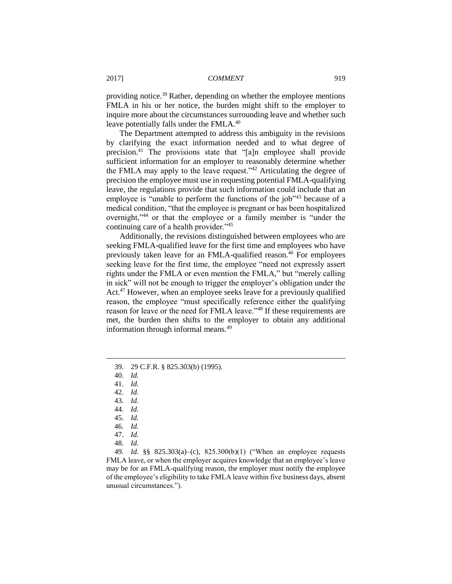providing notice.<sup>39</sup> Rather, depending on whether the employee mentions FMLA in his or her notice, the burden might shift to the employer to inquire more about the circumstances surrounding leave and whether such leave potentially falls under the FMLA.<sup>40</sup>

The Department attempted to address this ambiguity in the revisions by clarifying the exact information needed and to what degree of precision.<sup>41</sup> The provisions state that "[a]n employee shall provide sufficient information for an employer to reasonably determine whether the FMLA may apply to the leave request."<sup>42</sup> Articulating the degree of precision the employee must use in requesting potential FMLA-qualifying leave, the regulations provide that such information could include that an employee is "unable to perform the functions of the job"<sup>43</sup> because of a medical condition, "that the employee is pregnant or has been hospitalized overnight,"<sup>44</sup> or that the employee or a family member is "under the continuing care of a health provider."<sup>45</sup>

Additionally, the revisions distinguished between employees who are seeking FMLA-qualified leave for the first time and employees who have previously taken leave for an FMLA-qualified reason.<sup>46</sup> For employees seeking leave for the first time, the employee "need not expressly assert rights under the FMLA or even mention the FMLA," but "merely calling in sick" will not be enough to trigger the employer's obligation under the Act.<sup>47</sup> However, when an employee seeks leave for a previously qualified reason, the employee "must specifically reference either the qualifying reason for leave or the need for FMLA leave."<sup>48</sup> If these requirements are met, the burden then shifts to the employer to obtain any additional information through informal means.<sup>49</sup>

 $\overline{a}$ 

49. *Id*. §§ 825.303(a)–(c), 825.300(b)(1) ("When an employee requests FMLA leave, or when the employer acquires knowledge that an employee's leave may be for an FMLA-qualifying reason, the employer must notify the employee of the employee's eligibility to take FMLA leave within five business days, absent unusual circumstances.").

<sup>39.</sup> 29 C.F.R. § 825.303(b) (1995).

<sup>40.</sup> *Id.*

<sup>41.</sup> *Id.*

<sup>42.</sup> *Id.*

<sup>43.</sup> *Id.*

<sup>44.</sup> *Id.*

<sup>45.</sup> *Id.*

<sup>46.</sup> *Id.* 47. *Id.*

<sup>48.</sup> *Id.*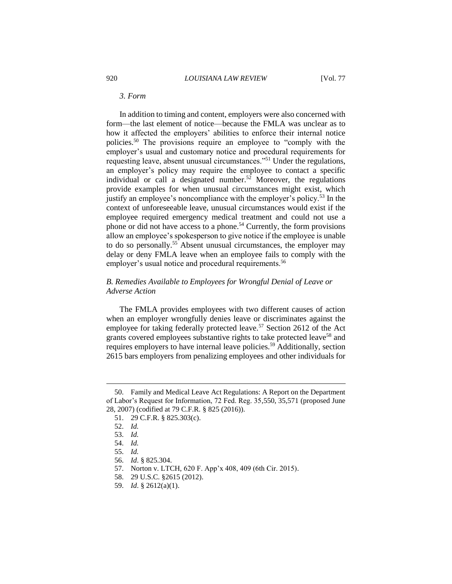#### *3. Form*

In addition to timing and content, employers were also concerned with form—the last element of notice—because the FMLA was unclear as to how it affected the employers' abilities to enforce their internal notice policies.<sup>50</sup> The provisions require an employee to "comply with the employer's usual and customary notice and procedural requirements for requesting leave, absent unusual circumstances."<sup>51</sup> Under the regulations, an employer's policy may require the employee to contact a specific individual or call a designated number.<sup>52</sup> Moreover, the regulations provide examples for when unusual circumstances might exist, which justify an employee's noncompliance with the employer's policy.<sup>53</sup> In the context of unforeseeable leave, unusual circumstances would exist if the employee required emergency medical treatment and could not use a phone or did not have access to a phone.<sup>54</sup> Currently, the form provisions allow an employee's spokesperson to give notice if the employee is unable to do so personally.<sup>55</sup> Absent unusual circumstances, the employer may delay or deny FMLA leave when an employee fails to comply with the employer's usual notice and procedural requirements.<sup>56</sup>

# *B. Remedies Available to Employees for Wrongful Denial of Leave or Adverse Action*

The FMLA provides employees with two different causes of action when an employer wrongfully denies leave or discriminates against the employee for taking federally protected leave.<sup>57</sup> Section 2612 of the Act grants covered employees substantive rights to take protected leave<sup>58</sup> and requires employers to have internal leave policies.<sup>59</sup> Additionally, section 2615 bars employers from penalizing employees and other individuals for

<sup>50.</sup> Family and Medical Leave Act Regulations: A Report on the Department of Labor's Request for Information, 72 Fed. Reg. 35,550, 35,571 (proposed June 28, 2007) (codified at 79 C.F.R. § 825 (2016)).

<sup>51.</sup> 29 C.F.R. § 825.303(c).

<sup>52.</sup> *Id.*

<sup>53.</sup> *Id.*

<sup>54.</sup> *Id.*

<sup>55.</sup> *Id.*

<sup>56.</sup> *Id*. § 825.304.

<sup>57.</sup> Norton v. LTCH, 620 F. App'x 408, 409 (6th Cir. 2015).

<sup>58.</sup> 29 U.S.C. §2615 (2012).

<sup>59.</sup> *Id*. § 2612(a)(1).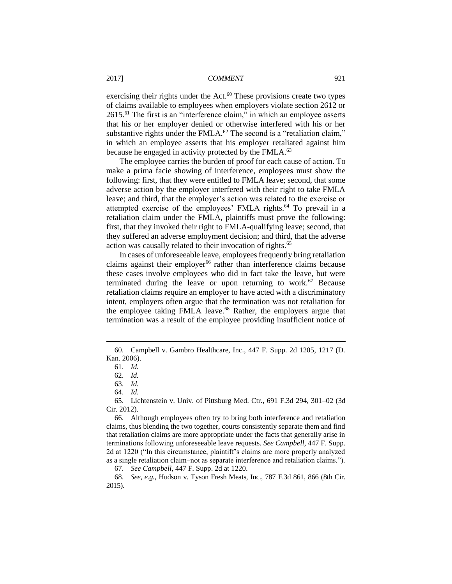exercising their rights under the Act.<sup>60</sup> These provisions create two types of claims available to employees when employers violate section 2612 or 2615.<sup>61</sup> The first is an "interference claim," in which an employee asserts that his or her employer denied or otherwise interfered with his or her substantive rights under the FMLA. $^{62}$  The second is a "retaliation claim," in which an employee asserts that his employer retaliated against him because he engaged in activity protected by the FMLA.<sup>63</sup>

The employee carries the burden of proof for each cause of action. To make a prima facie showing of interference, employees must show the following: first, that they were entitled to FMLA leave; second, that some adverse action by the employer interfered with their right to take FMLA leave; and third, that the employer's action was related to the exercise or attempted exercise of the employees' FMLA rights.<sup>64</sup> To prevail in a retaliation claim under the FMLA, plaintiffs must prove the following: first, that they invoked their right to FMLA-qualifying leave; second, that they suffered an adverse employment decision; and third, that the adverse action was causally related to their invocation of rights.<sup>65</sup>

In cases of unforeseeable leave, employees frequently bring retaliation claims against their employer<sup>66</sup> rather than interference claims because these cases involve employees who did in fact take the leave, but were terminated during the leave or upon returning to work. $67$  Because retaliation claims require an employer to have acted with a discriminatory intent, employers often argue that the termination was not retaliation for the employee taking FMLA leave.<sup>68</sup> Rather, the employers argue that termination was a result of the employee providing insufficient notice of

<sup>60.</sup> Campbell v. Gambro Healthcare, Inc., 447 F. Supp. 2d 1205, 1217 (D. Kan. 2006).

<sup>61.</sup> *Id.*

<sup>62.</sup> *Id.*

<sup>63.</sup> *Id.*

<sup>64.</sup> *Id.*

<sup>65.</sup> Lichtenstein v. Univ. of Pittsburg Med. Ctr., 691 F.3d 294, 301–02 (3d Cir. 2012).

<sup>66.</sup> Although employees often try to bring both interference and retaliation claims, thus blending the two together, courts consistently separate them and find that retaliation claims are more appropriate under the facts that generally arise in terminations following unforeseeable leave requests. *See Campbell*, 447 F. Supp. 2d at 1220 ("In this circumstance, plaintiff's claims are more properly analyzed as a single retaliation claim–not as separate interference and retaliation claims.").

<sup>67.</sup> *See Campbell*, 447 F. Supp. 2d at 1220.

<sup>68.</sup> *See, e.g.*, Hudson v. Tyson Fresh Meats, Inc., 787 F.3d 861, 866 (8th Cir. 2015).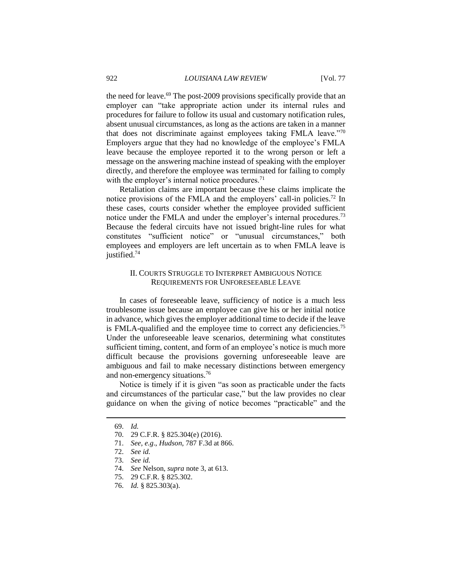the need for leave.<sup>69</sup> The post-2009 provisions specifically provide that an employer can "take appropriate action under its internal rules and procedures for failure to follow its usual and customary notification rules, absent unusual circumstances, as long as the actions are taken in a manner that does not discriminate against employees taking FMLA leave."<sup>70</sup> Employers argue that they had no knowledge of the employee's FMLA leave because the employee reported it to the wrong person or left a message on the answering machine instead of speaking with the employer directly, and therefore the employee was terminated for failing to comply with the employer's internal notice procedures. $71$ 

Retaliation claims are important because these claims implicate the notice provisions of the FMLA and the employers' call-in policies.<sup>72</sup> In these cases, courts consider whether the employee provided sufficient notice under the FMLA and under the employer's internal procedures.<sup>73</sup> Because the federal circuits have not issued bright-line rules for what constitutes "sufficient notice" or "unusual circumstances," both employees and employers are left uncertain as to when FMLA leave is justified.<sup>74</sup>

# II. COURTS STRUGGLE TO INTERPRET AMBIGUOUS NOTICE REQUIREMENTS FOR UNFORESEEABLE LEAVE

In cases of foreseeable leave, sufficiency of notice is a much less troublesome issue because an employee can give his or her initial notice in advance, which gives the employer additional time to decide if the leave is FMLA-qualified and the employee time to correct any deficiencies.<sup>75</sup> Under the unforeseeable leave scenarios, determining what constitutes sufficient timing, content, and form of an employee's notice is much more difficult because the provisions governing unforeseeable leave are ambiguous and fail to make necessary distinctions between emergency and non-emergency situations.<sup>76</sup>

Notice is timely if it is given "as soon as practicable under the facts and circumstances of the particular case," but the law provides no clear guidance on when the giving of notice becomes "practicable" and the

<sup>69.</sup> *Id.*

<sup>70.</sup> 29 C.F.R. § 825.304(e) (2016).

<sup>71.</sup> *See, e.g*., *Hudson*, 787 F.3d at 866.

<sup>72.</sup> *See id.*

<sup>73.</sup> *See id.*

<sup>74.</sup> *See* Nelson, *supra* note 3, at 613.

<sup>75.</sup> 29 C.F.R. § 825.302.

<sup>76.</sup> *Id.* § 825.303(a).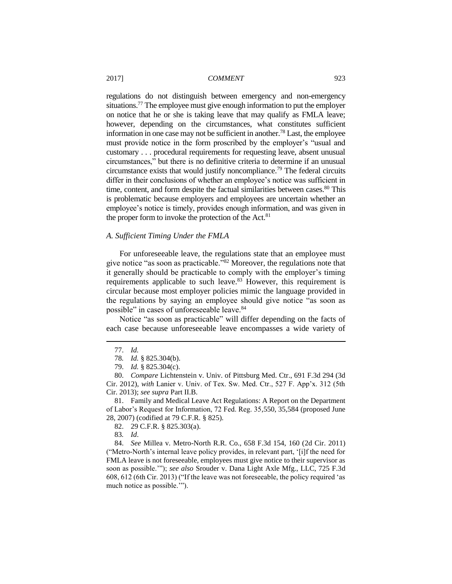regulations do not distinguish between emergency and non-emergency situations.<sup>77</sup> The employee must give enough information to put the employer on notice that he or she is taking leave that may qualify as FMLA leave; however, depending on the circumstances, what constitutes sufficient information in one case may not be sufficient in another.<sup>78</sup> Last, the employee must provide notice in the form proscribed by the employer's "usual and customary . . . procedural requirements for requesting leave, absent unusual circumstances," but there is no definitive criteria to determine if an unusual circumstance exists that would justify noncompliance.<sup>79</sup> The federal circuits differ in their conclusions of whether an employee's notice was sufficient in time, content, and form despite the factual similarities between cases.<sup>80</sup> This is problematic because employers and employees are uncertain whether an employee's notice is timely, provides enough information, and was given in the proper form to invoke the protection of the Act.<sup>81</sup>

#### *A. Sufficient Timing Under the FMLA*

For unforeseeable leave, the regulations state that an employee must give notice "as soon as practicable."<sup>82</sup> Moreover, the regulations note that it generally should be practicable to comply with the employer's timing requirements applicable to such leave.<sup>83</sup> However, this requirement is circular because most employer policies mimic the language provided in the regulations by saying an employee should give notice "as soon as possible" in cases of unforeseeable leave.<sup>84</sup>

Notice "as soon as practicable" will differ depending on the facts of each case because unforeseeable leave encompasses a wide variety of

 $\overline{a}$ 

81. Family and Medical Leave Act Regulations: A Report on the Department of Labor's Request for Information, 72 Fed. Reg. 35,550, 35,584 (proposed June 28, 2007) (codified at 79 C.F.R. § 825).

82. 29 C.F.R. § 825.303(a).

83*. Id*.

84. *See* Millea v. Metro-North R.R. Co., 658 F.3d 154, 160 (2d Cir. 2011) ("Metro-North's internal leave policy provides, in relevant part, '[i]f the need for FMLA leave is not foreseeable, employees must give notice to their supervisor as soon as possible.'"); *see also* Srouder v. Dana Light Axle Mfg., LLC, 725 F.3d 608, 612 (6th Cir. 2013) ("If the leave was not foreseeable, the policy required 'as much notice as possible.'").

<sup>77.</sup> *Id.* 

<sup>78</sup>*. Id.* § 825.304(b).

<sup>79.</sup> *Id.* § 825.304(c).

<sup>80.</sup> *Compare* Lichtenstein v. Univ. of Pittsburg Med. Ctr., 691 F.3d 294 (3d Cir. 2012), *with* Lanier v. Univ. of Tex. Sw. Med. Ctr., 527 F. App'x. 312 (5th Cir. 2013); *see supra* Part II.B.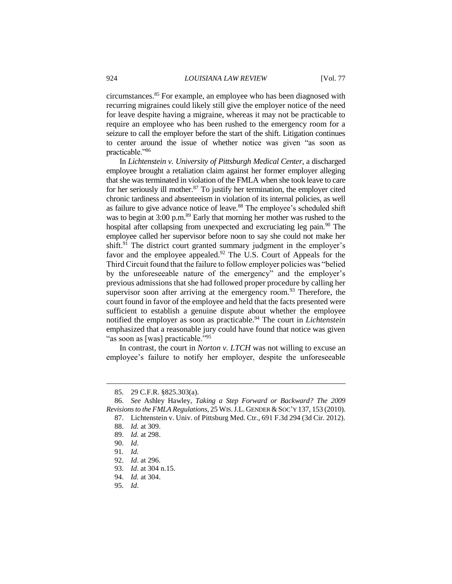circumstances.<sup>85</sup> For example, an employee who has been diagnosed with recurring migraines could likely still give the employer notice of the need for leave despite having a migraine, whereas it may not be practicable to require an employee who has been rushed to the emergency room for a seizure to call the employer before the start of the shift. Litigation continues to center around the issue of whether notice was given "as soon as practicable."<sup>86</sup>

In *Lichtenstein v. University of Pittsburgh Medical Center*, a discharged employee brought a retaliation claim against her former employer alleging that she was terminated in violation of the FMLA when she took leave to care for her seriously ill mother.<sup>87</sup> To justify her termination, the employer cited chronic tardiness and absenteeism in violation of its internal policies, as well as failure to give advance notice of leave.<sup>88</sup> The employee's scheduled shift was to begin at 3:00 p.m.<sup>89</sup> Early that morning her mother was rushed to the hospital after collapsing from unexpected and excruciating leg pain.<sup>90</sup> The employee called her supervisor before noon to say she could not make her shift.<sup>91</sup> The district court granted summary judgment in the employer's favor and the employee appealed.<sup>92</sup> The U.S. Court of Appeals for the Third Circuit found that the failure to follow employer policies was "belied by the unforeseeable nature of the emergency" and the employer's previous admissions that she had followed proper procedure by calling her supervisor soon after arriving at the emergency room. $93$  Therefore, the court found in favor of the employee and held that the facts presented were sufficient to establish a genuine dispute about whether the employee notified the employer as soon as practicable.<sup>94</sup> The court in *Lichtenstein* emphasized that a reasonable jury could have found that notice was given "as soon as [was] practicable."<sup>95</sup>

In contrast, the court in *Norton v. LTCH* was not willing to excuse an employee's failure to notify her employer, despite the unforeseeable

<sup>85.</sup> 29 C.F.R. §825.303(a).

<sup>86.</sup> *See* Ashley Hawley, *Taking a Step Forward or Backward? The 2009 Revisions to the FMLA Regulations*, 25 WIS.J.L. GENDER &SOC'Y 137, 153 (2010).

<sup>87.</sup> Lichtenstein v. Univ. of Pittsburg Med. Ctr., 691 F.3d 294 (3d Cir. 2012).

<sup>88.</sup> *Id.* at 309.

<sup>89.</sup> *Id.* at 298.

<sup>90.</sup> *Id*.

<sup>91</sup>*. Id.*

<sup>92.</sup> *Id*. at 296.

<sup>93.</sup> *Id*. at 304 n.15.

<sup>94.</sup> *Id.* at 304.

<sup>95.</sup> *Id*.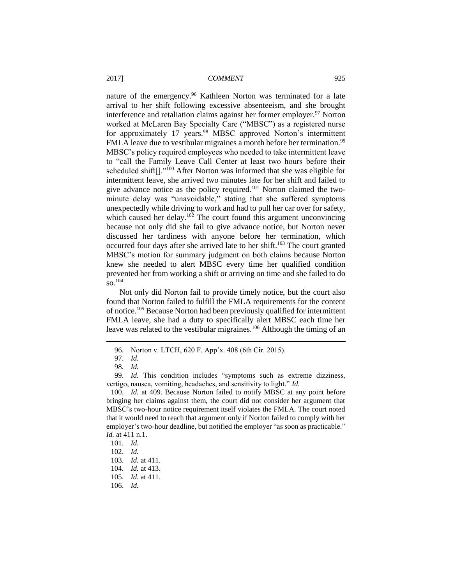nature of the emergency.<sup>96</sup> Kathleen Norton was terminated for a late arrival to her shift following excessive absenteeism, and she brought interference and retaliation claims against her former employer.<sup>97</sup> Norton worked at McLaren Bay Specialty Care ("MBSC") as a registered nurse for approximately 17 years.<sup>98</sup> MBSC approved Norton's intermittent FMLA leave due to vestibular migraines a month before her termination.<sup>99</sup> MBSC's policy required employees who needed to take intermittent leave to "call the Family Leave Call Center at least two hours before their scheduled shift<sup>[]</sup>."<sup>100</sup> After Norton was informed that she was eligible for intermittent leave, she arrived two minutes late for her shift and failed to give advance notice as the policy required.<sup>101</sup> Norton claimed the twominute delay was "unavoidable," stating that she suffered symptoms unexpectedly while driving to work and had to pull her car over for safety, which caused her delay.<sup>102</sup> The court found this argument unconvincing because not only did she fail to give advance notice, but Norton never discussed her tardiness with anyone before her termination, which occurred four days after she arrived late to her shift.<sup>103</sup> The court granted MBSC's motion for summary judgment on both claims because Norton knew she needed to alert MBSC every time her qualified condition prevented her from working a shift or arriving on time and she failed to do so.<sup>104</sup>

Not only did Norton fail to provide timely notice, but the court also found that Norton failed to fulfill the FMLA requirements for the content of notice.<sup>105</sup> Because Norton had been previously qualified for intermittent FMLA leave, she had a duty to specifically alert MBSC each time her leave was related to the vestibular migraines.<sup>106</sup> Although the timing of an

<sup>96.</sup> Norton v. LTCH, 620 F. App'x. 408 (6th Cir. 2015).

<sup>97.</sup> *Id.*

<sup>98.</sup> *Id.*

<sup>99.</sup> *Id.* This condition includes "symptoms such as extreme dizziness, vertigo, nausea, vomiting, headaches, and sensitivity to light." *Id.*

<sup>100.</sup> *Id.* at 409. Because Norton failed to notify MBSC at any point before bringing her claims against them, the court did not consider her argument that MBSC's two-hour notice requirement itself violates the FMLA. The court noted that it would need to reach that argument only if Norton failed to comply with her employer's two-hour deadline, but notified the employer "as soon as practicable." *Id.* at 411 n.1.

<sup>101.</sup> *Id.*

<sup>102.</sup> *Id.*

<sup>103.</sup> *Id.* at 411. 104. *Id.* at 413.

<sup>105.</sup> *Id.* at 411.

<sup>106.</sup> *Id.*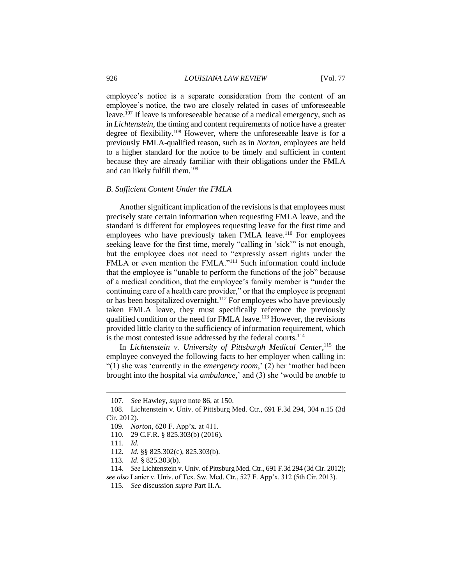employee's notice is a separate consideration from the content of an employee's notice, the two are closely related in cases of unforeseeable leave.<sup>107</sup> If leave is unforeseeable because of a medical emergency, such as in *Lichtenstein*, the timing and content requirements of notice have a greater degree of flexibility.<sup>108</sup> However, where the unforeseeable leave is for a previously FMLA-qualified reason, such as in *Norton*, employees are held to a higher standard for the notice to be timely and sufficient in content because they are already familiar with their obligations under the FMLA and can likely fulfill them.<sup>109</sup>

#### *B. Sufficient Content Under the FMLA*

Another significant implication of the revisions is that employees must precisely state certain information when requesting FMLA leave, and the standard is different for employees requesting leave for the first time and employees who have previously taken FMLA leave.<sup>110</sup> For employees seeking leave for the first time, merely "calling in 'sick'" is not enough, but the employee does not need to "expressly assert rights under the FMLA or even mention the FMLA."<sup>111</sup> Such information could include that the employee is "unable to perform the functions of the job" because of a medical condition, that the employee's family member is "under the continuing care of a health care provider," or that the employee is pregnant or has been hospitalized overnight.<sup>112</sup> For employees who have previously taken FMLA leave, they must specifically reference the previously qualified condition or the need for FMLA leave.<sup>113</sup> However, the revisions provided little clarity to the sufficiency of information requirement, which is the most contested issue addressed by the federal courts.<sup>114</sup>

In *Lichtenstein v. University of Pittsburgh Medical Center*,<sup>115</sup> the employee conveyed the following facts to her employer when calling in: "(1) she was 'currently in the *emergency room*,' (2) her 'mother had been brought into the hospital via *ambulance*,' and (3) she 'would be *unable* to

<sup>107.</sup> *See* Hawley, *supra* note 86, at 150.

<sup>108.</sup> Lichtenstein v. Univ. of Pittsburg Med. Ctr., 691 F.3d 294, 304 n.15 (3d Cir. 2012).

<sup>109.</sup> *Norton*, 620 F. App'x. at 411.

<sup>110.</sup> 29 C.F.R. § 825.303(b) (2016).

<sup>111.</sup> *Id.*

<sup>112</sup>*. Id.* §§ 825.302(c), 825.303(b).

<sup>113.</sup> *Id*. § 825.303(b).

<sup>114.</sup> *See* Lichtenstein v. Univ. of Pittsburg Med. Ctr., 691 F.3d 294 (3d Cir. 2012); *see also* Lanier v. Univ. of Tex. Sw. Med. Ctr., 527 F. App'x. 312 (5th Cir. 2013).

<sup>115.</sup> *See* discussion *supra* Part II.A.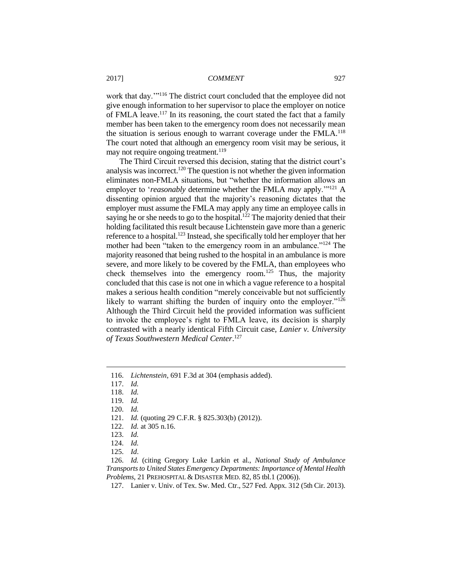work that day.'"<sup>116</sup> The district court concluded that the employee did not give enough information to her supervisor to place the employer on notice of FMLA leave.<sup>117</sup> In its reasoning, the court stated the fact that a family member has been taken to the emergency room does not necessarily mean the situation is serious enough to warrant coverage under the FMLA.<sup>118</sup> The court noted that although an emergency room visit may be serious, it may not require ongoing treatment.<sup>119</sup>

The Third Circuit reversed this decision, stating that the district court's analysis was incorrect.<sup>120</sup> The question is not whether the given information eliminates non-FMLA situations, but "whether the information allows an employer to '*reasonably* determine whether the FMLA *may* apply.'"<sup>121</sup> A dissenting opinion argued that the majority's reasoning dictates that the employer must assume the FMLA may apply any time an employee calls in saying he or she needs to go to the hospital.<sup>122</sup> The majority denied that their holding facilitated this result because Lichtenstein gave more than a generic reference to a hospital.<sup>123</sup> Instead, she specifically told her employer that her mother had been "taken to the emergency room in an ambulance."<sup>124</sup> The majority reasoned that being rushed to the hospital in an ambulance is more severe, and more likely to be covered by the FMLA, than employees who check themselves into the emergency room.<sup>125</sup> Thus, the majority concluded that this case is not one in which a vague reference to a hospital makes a serious health condition "merely conceivable but not sufficiently likely to warrant shifting the burden of inquiry onto the employer."<sup>126</sup> Although the Third Circuit held the provided information was sufficient to invoke the employee's right to FMLA leave, its decision is sharply contrasted with a nearly identical Fifth Circuit case, *Lanier v. University of Texas Southwestern Medical Center*. 127

 $\overline{a}$ 

125. *Id*.

<sup>116.</sup> *Lichtenstein*, 691 F.3d at 304 (emphasis added).

<sup>117.</sup> *Id.*

<sup>118.</sup> *Id.*

<sup>119.</sup> *Id.*

<sup>120.</sup> *Id.*

<sup>121.</sup> *Id.* (quoting 29 C.F.R. § 825.303(b) (2012)).

<sup>122.</sup> *Id.* at 305 n.16.

<sup>123.</sup> *Id.*

<sup>124.</sup> *Id.*

<sup>126.</sup> *Id.* (citing Gregory Luke Larkin et al., *National Study of Ambulance Transports to United States Emergency Departments: Importance of Mental Health Problems*, 21 PREHOSPITAL & DISASTER MED. 82, 85 tbl.1 (2006)).

<sup>127.</sup> Lanier v. Univ. of Tex. Sw. Med. Ctr., 527 Fed. Appx. 312 (5th Cir. 2013).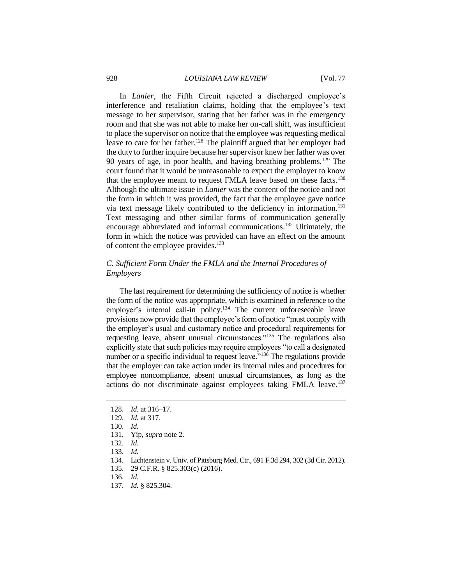#### 928 *LOUISIANA LAW REVIEW* [Vol. 77

In *Lanier*, the Fifth Circuit rejected a discharged employee's interference and retaliation claims, holding that the employee's text message to her supervisor, stating that her father was in the emergency room and that she was not able to make her on-call shift, was insufficient to place the supervisor on notice that the employee was requesting medical leave to care for her father.<sup>128</sup> The plaintiff argued that her employer had the duty to further inquire because her supervisor knew her father was over 90 years of age, in poor health, and having breathing problems.<sup>129</sup> The court found that it would be unreasonable to expect the employer to know that the employee meant to request FMLA leave based on these facts.<sup>130</sup> Although the ultimate issue in *Lanier* was the content of the notice and not the form in which it was provided, the fact that the employee gave notice via text message likely contributed to the deficiency in information.<sup>131</sup> Text messaging and other similar forms of communication generally encourage abbreviated and informal communications.<sup>132</sup> Ultimately, the form in which the notice was provided can have an effect on the amount of content the employee provides.<sup>133</sup>

## *C. Sufficient Form Under the FMLA and the Internal Procedures of Employers*

The last requirement for determining the sufficiency of notice is whether the form of the notice was appropriate, which is examined in reference to the employer's internal call-in policy.<sup>134</sup> The current unforeseeable leave provisions now provide that the employee's form of notice "must comply with the employer's usual and customary notice and procedural requirements for requesting leave, absent unusual circumstances."<sup>135</sup> The regulations also explicitly state that such policies may require employees "to call a designated number or a specific individual to request leave.<sup>"136</sup> The regulations provide that the employer can take action under its internal rules and procedures for employee noncompliance, absent unusual circumstances, as long as the actions do not discriminate against employees taking FMLA leave.<sup>137</sup>

- 135. 29 C.F.R. § 825.303(c) (2016).
- 136. *Id.*
- 137. *Id.* § 825.304.

<sup>128.</sup> *Id.* at 316–17.

<sup>129.</sup> *Id.* at 317.

<sup>130.</sup> *Id.*

<sup>131.</sup> Yip, *supra* note 2.

<sup>132.</sup> *Id.*

<sup>133.</sup> *Id.*

<sup>134.</sup> Lichtenstein v. Univ. of Pittsburg Med. Ctr., 691 F.3d 294, 302 (3d Cir. 2012).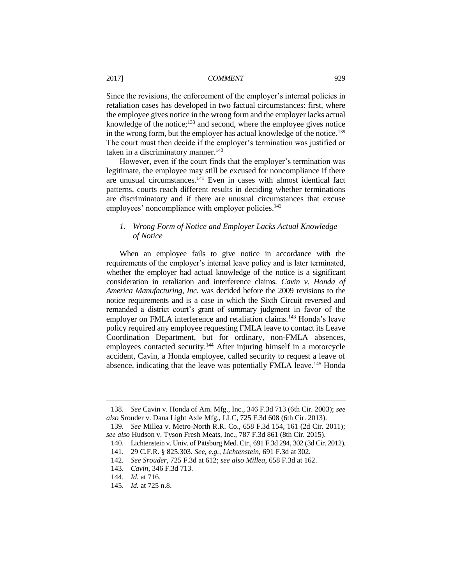Since the revisions, the enforcement of the employer's internal policies in retaliation cases has developed in two factual circumstances: first, where the employee gives notice in the wrong form and the employer lacks actual knowledge of the notice;<sup>138</sup> and second, where the employee gives notice in the wrong form, but the employer has actual knowledge of the notice.<sup>139</sup> The court must then decide if the employer's termination was justified or taken in a discriminatory manner.<sup>140</sup>

However, even if the court finds that the employer's termination was legitimate, the employee may still be excused for noncompliance if there are unusual circumstances.<sup>141</sup> Even in cases with almost identical fact patterns, courts reach different results in deciding whether terminations are discriminatory and if there are unusual circumstances that excuse employees' noncompliance with employer policies.<sup>142</sup>

# *1. Wrong Form of Notice and Employer Lacks Actual Knowledge of Notice*

When an employee fails to give notice in accordance with the requirements of the employer's internal leave policy and is later terminated, whether the employer had actual knowledge of the notice is a significant consideration in retaliation and interference claims. *Cavin v. Honda of America Manufacturing, Inc.* was decided before the 2009 revisions to the notice requirements and is a case in which the Sixth Circuit reversed and remanded a district court's grant of summary judgment in favor of the employer on FMLA interference and retaliation claims.<sup>143</sup> Honda's leave policy required any employee requesting FMLA leave to contact its Leave Coordination Department, but for ordinary, non-FMLA absences, employees contacted security.<sup>144</sup> After injuring himself in a motorcycle accident, Cavin, a Honda employee, called security to request a leave of absence, indicating that the leave was potentially FMLA leave.<sup>145</sup> Honda

<sup>138.</sup> *See* Cavin v. Honda of Am. Mfg., Inc., 346 F.3d 713 (6th Cir. 2003); *see also* Srouder v. Dana Light Axle Mfg., LLC, 725 F.3d 608 (6th Cir. 2013).

<sup>139.</sup> *See* Millea v. Metro-North R.R. Co., 658 F.3d 154, 161 (2d Cir. 2011); *see also* Hudson v. Tyson Fresh Meats, Inc., 787 F.3d 861 (8th Cir. 2015).

<sup>140.</sup> Lichtenstein v. Univ. of Pittsburg Med. Ctr., 691 F.3d 294, 302 (3d Cir. 2012).

<sup>141.</sup> 29 C.F.R. § 825.303. *See, e.g.*, *Lichtenstein*, 691 F.3d at 302*.*

<sup>142.</sup> *See Srouder*, 725 F.3d at 612; *see also Millea*, 658 F.3d at 162.

<sup>143.</sup> *Cavin*, 346 F.3d 713.

<sup>144.</sup> *Id.* at 716.

<sup>145.</sup> *Id.* at 725 n.8.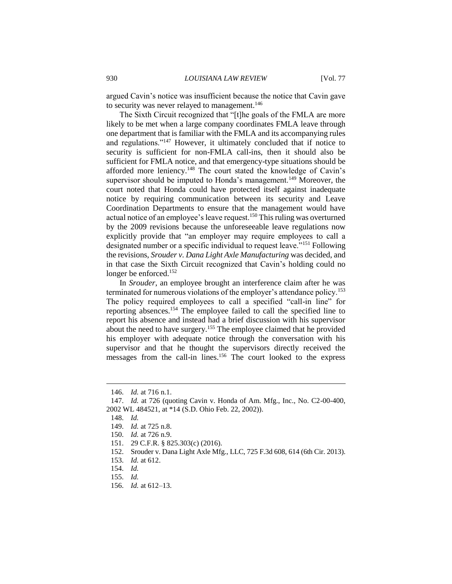argued Cavin's notice was insufficient because the notice that Cavin gave to security was never relayed to management.<sup>146</sup>

The Sixth Circuit recognized that "[t]he goals of the FMLA are more likely to be met when a large company coordinates FMLA leave through one department that is familiar with the FMLA and its accompanying rules and regulations."<sup>147</sup> However, it ultimately concluded that if notice to security is sufficient for non-FMLA call-ins, then it should also be sufficient for FMLA notice, and that emergency-type situations should be afforded more leniency.<sup>148</sup> The court stated the knowledge of Cavin's supervisor should be imputed to Honda's management.<sup>149</sup> Moreover, the court noted that Honda could have protected itself against inadequate notice by requiring communication between its security and Leave Coordination Departments to ensure that the management would have actual notice of an employee's leave request.<sup>150</sup> This ruling was overturned by the 2009 revisions because the unforeseeable leave regulations now explicitly provide that "an employer may require employees to call a designated number or a specific individual to request leave."<sup>151</sup> Following the revisions, *Srouder v. Dana Light Axle Manufacturing* was decided, and in that case the Sixth Circuit recognized that Cavin's holding could no longer be enforced.<sup>152</sup>

In *Srouder*, an employee brought an interference claim after he was terminated for numerous violations of the employer's attendance policy.<sup>153</sup> The policy required employees to call a specified "call-in line" for reporting absences.<sup>154</sup> The employee failed to call the specified line to report his absence and instead had a brief discussion with his supervisor about the need to have surgery.<sup>155</sup> The employee claimed that he provided his employer with adequate notice through the conversation with his supervisor and that he thought the supervisors directly received the messages from the call-in lines.<sup>156</sup> The court looked to the express

<sup>146.</sup> *Id.* at 716 n.1.

<sup>147.</sup> *Id.* at 726 (quoting Cavin v. Honda of Am. Mfg., Inc., No. C2-00-400, 2002 WL 484521, at \*14 (S.D. Ohio Feb. 22, 2002)).

<sup>148.</sup> *Id.*

<sup>149.</sup> *Id.* at 725 n.8.

<sup>150.</sup> *Id.* at 726 n.9.

<sup>151.</sup> 29 C.F.R. § 825.303(c) (2016).

<sup>152.</sup> Srouder v. Dana Light Axle Mfg., LLC, 725 F.3d 608, 614 (6th Cir. 2013).

<sup>153.</sup> *Id.* at 612.

<sup>154.</sup> *Id.*

<sup>155.</sup> *Id.*

<sup>156.</sup> *Id.* at 612–13.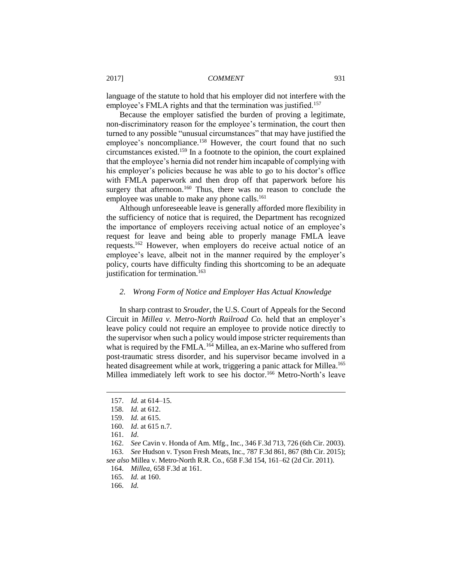language of the statute to hold that his employer did not interfere with the employee's FMLA rights and that the termination was justified.<sup>157</sup>

Because the employer satisfied the burden of proving a legitimate, non-discriminatory reason for the employee's termination, the court then turned to any possible "unusual circumstances" that may have justified the employee's noncompliance.<sup>158</sup> However, the court found that no such circumstances existed.<sup>159</sup> In a footnote to the opinion, the court explained that the employee's hernia did not render him incapable of complying with his employer's policies because he was able to go to his doctor's office with FMLA paperwork and then drop off that paperwork before his surgery that afternoon.<sup>160</sup> Thus, there was no reason to conclude the employee was unable to make any phone calls.<sup>161</sup>

Although unforeseeable leave is generally afforded more flexibility in the sufficiency of notice that is required, the Department has recognized the importance of employers receiving actual notice of an employee's request for leave and being able to properly manage FMLA leave requests.<sup>162</sup> However, when employers do receive actual notice of an employee's leave, albeit not in the manner required by the employer's policy, courts have difficulty finding this shortcoming to be an adequate justification for termination.<sup>163</sup>

#### *2. Wrong Form of Notice and Employer Has Actual Knowledge*

In sharp contrast to *Srouder*, the U.S. Court of Appeals for the Second Circuit in *Millea v. Metro-North Railroad Co.* held that an employer's leave policy could not require an employee to provide notice directly to the supervisor when such a policy would impose stricter requirements than what is required by the FMLA.<sup>164</sup> Millea, an ex-Marine who suffered from post-traumatic stress disorder, and his supervisor became involved in a heated disagreement while at work, triggering a panic attack for Millea.<sup>165</sup> Millea immediately left work to see his doctor.<sup>166</sup> Metro-North's leave

 $\overline{a}$ 

162. *See* Cavin v. Honda of Am. Mfg., Inc., 346 F.3d 713, 726 (6th Cir. 2003). 163. *See* Hudson v. Tyson Fresh Meats, Inc., 787 F.3d 861, 867 (8th Cir. 2015);

*see also* Millea v. Metro-North R.R. Co., 658 F.3d 154, 161–62 (2d Cir. 2011).

<sup>157.</sup> *Id.* at 614–15.

<sup>158.</sup> *Id.* at 612.

<sup>159.</sup> *Id.* at 615.

<sup>160.</sup> *Id*. at 615 n.7.

<sup>161.</sup> *Id*.

<sup>164.</sup> *Millea*, 658 F.3d at 161.

<sup>165.</sup> *Id.* at 160.

<sup>166.</sup> *Id.*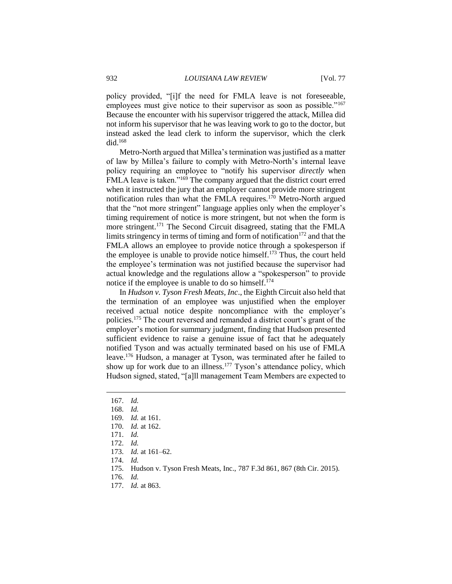policy provided, "[i]f the need for FMLA leave is not foreseeable, employees must give notice to their supervisor as soon as possible."<sup>167</sup> Because the encounter with his supervisor triggered the attack, Millea did not inform his supervisor that he was leaving work to go to the doctor, but instead asked the lead clerk to inform the supervisor, which the clerk did.<sup>168</sup>

Metro-North argued that Millea's termination was justified as a matter of law by Millea's failure to comply with Metro-North's internal leave policy requiring an employee to "notify his supervisor *directly* when FMLA leave is taken."<sup>169</sup> The company argued that the district court erred when it instructed the jury that an employer cannot provide more stringent notification rules than what the FMLA requires.<sup>170</sup> Metro-North argued that the "not more stringent" language applies only when the employer's timing requirement of notice is more stringent, but not when the form is more stringent.<sup>171</sup> The Second Circuit disagreed, stating that the FMLA limits stringency in terms of timing and form of notification $172$  and that the FMLA allows an employee to provide notice through a spokesperson if the employee is unable to provide notice himself. $173$  Thus, the court held the employee's termination was not justified because the supervisor had actual knowledge and the regulations allow a "spokesperson" to provide notice if the employee is unable to do so himself.<sup>174</sup>

In *Hudson v. Tyson Fresh Meats, Inc*., the Eighth Circuit also held that the termination of an employee was unjustified when the employer received actual notice despite noncompliance with the employer's policies.<sup>175</sup> The court reversed and remanded a district court's grant of the employer's motion for summary judgment, finding that Hudson presented sufficient evidence to raise a genuine issue of fact that he adequately notified Tyson and was actually terminated based on his use of FMLA leave.<sup>176</sup> Hudson, a manager at Tyson, was terminated after he failed to show up for work due to an illness.<sup>177</sup> Tyson's attendance policy, which Hudson signed, stated, "[a]ll management Team Members are expected to

<sup>167.</sup> *Id.*

<sup>168.</sup> *Id.*

<sup>169.</sup> *Id.* at 161.

<sup>170.</sup> *Id.* at 162.

<sup>171.</sup> *Id.*

<sup>172.</sup> *Id.*

<sup>173.</sup> *Id.* at 161–62.

<sup>174.</sup> *Id.*

<sup>175.</sup> Hudson v. Tyson Fresh Meats, Inc., 787 F.3d 861, 867 (8th Cir. 2015).

<sup>176.</sup> *Id.*

<sup>177.</sup> *Id.* at 863.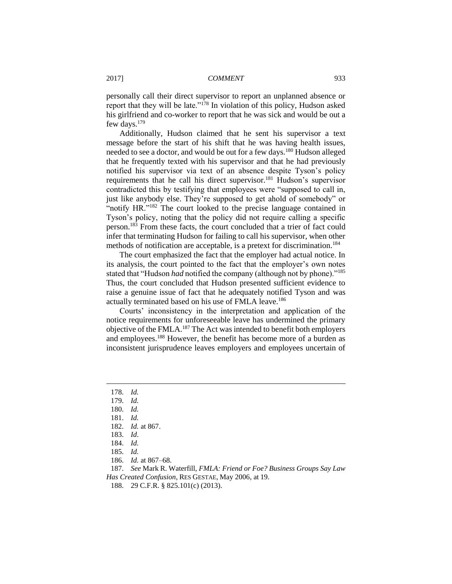personally call their direct supervisor to report an unplanned absence or report that they will be late."<sup>178</sup> In violation of this policy, Hudson asked his girlfriend and co-worker to report that he was sick and would be out a few days.<sup>179</sup>

Additionally, Hudson claimed that he sent his supervisor a text message before the start of his shift that he was having health issues, needed to see a doctor, and would be out for a few days.<sup>180</sup> Hudson alleged that he frequently texted with his supervisor and that he had previously notified his supervisor via text of an absence despite Tyson's policy requirements that he call his direct supervisor.<sup>181</sup> Hudson's supervisor contradicted this by testifying that employees were "supposed to call in, just like anybody else. They're supposed to get ahold of somebody" or "notify HR."<sup>182</sup> The court looked to the precise language contained in Tyson's policy, noting that the policy did not require calling a specific person.<sup>183</sup> From these facts, the court concluded that a trier of fact could infer that terminating Hudson for failing to call his supervisor, when other methods of notification are acceptable, is a pretext for discrimination.<sup>184</sup>

The court emphasized the fact that the employer had actual notice. In its analysis, the court pointed to the fact that the employer's own notes stated that "Hudson *had* notified the company (although not by phone)."<sup>185</sup> Thus, the court concluded that Hudson presented sufficient evidence to raise a genuine issue of fact that he adequately notified Tyson and was actually terminated based on his use of FMLA leave.<sup>186</sup>

Courts' inconsistency in the interpretation and application of the notice requirements for unforeseeable leave has undermined the primary objective of the FMLA.<sup>187</sup> The Act was intended to benefit both employers and employees.<sup>188</sup> However, the benefit has become more of a burden as inconsistent jurisprudence leaves employers and employees uncertain of

 $\overline{a}$ 

186. *Id.* at 867–68.

187. *See* Mark R. Waterfill, *FMLA: Friend or Foe? Business Groups Say Law Has Created Confusion*, RES GESTAE, May 2006, at 19.

188. 29 C.F.R. § 825.101(c) (2013).

<sup>178.</sup> *Id.*

<sup>179.</sup> *Id.*

<sup>180.</sup> *Id.*

<sup>181.</sup> *Id.*

<sup>182.</sup> *Id.* at 867.

<sup>183.</sup> *Id*.

<sup>184.</sup> *Id.*

<sup>185.</sup> *Id.*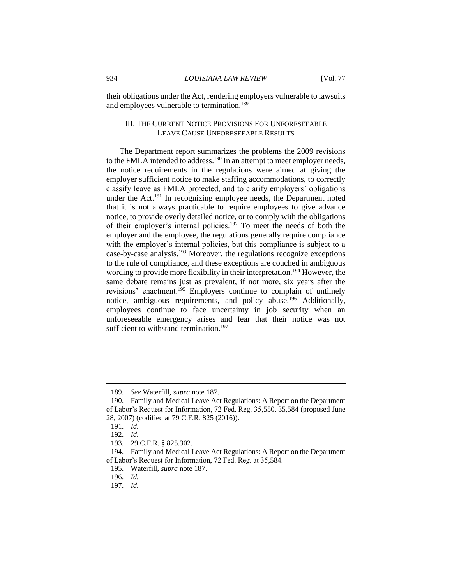their obligations under the Act, rendering employers vulnerable to lawsuits and employees vulnerable to termination.<sup>189</sup>

### III. THE CURRENT NOTICE PROVISIONS FOR UNFORESEEABLE LEAVE CAUSE UNFORESEEABLE RESULTS

The Department report summarizes the problems the 2009 revisions to the FMLA intended to address.<sup>190</sup> In an attempt to meet employer needs, the notice requirements in the regulations were aimed at giving the employer sufficient notice to make staffing accommodations, to correctly classify leave as FMLA protected, and to clarify employers' obligations under the Act.<sup>191</sup> In recognizing employee needs, the Department noted that it is not always practicable to require employees to give advance notice, to provide overly detailed notice, or to comply with the obligations of their employer's internal policies.<sup>192</sup> To meet the needs of both the employer and the employee, the regulations generally require compliance with the employer's internal policies, but this compliance is subject to a case-by-case analysis.<sup>193</sup> Moreover, the regulations recognize exceptions to the rule of compliance, and these exceptions are couched in ambiguous wording to provide more flexibility in their interpretation.<sup>194</sup> However, the same debate remains just as prevalent, if not more, six years after the revisions' enactment.<sup>195</sup> Employers continue to complain of untimely notice, ambiguous requirements, and policy abuse.<sup>196</sup> Additionally, employees continue to face uncertainty in job security when an unforeseeable emergency arises and fear that their notice was not sufficient to withstand termination.<sup>197</sup>

<sup>189.</sup> *See* Waterfill, *supra* note 187.

<sup>190.</sup> Family and Medical Leave Act Regulations: A Report on the Department of Labor's Request for Information, 72 Fed. Reg. 35,550, 35,584 (proposed June 28, 2007) (codified at 79 C.F.R. 825 (2016)).

<sup>191.</sup> *Id.*

<sup>192.</sup> *Id.*

<sup>193.</sup> 29 C.F.R. § 825.302.

<sup>194.</sup> Family and Medical Leave Act Regulations: A Report on the Department of Labor's Request for Information, 72 Fed. Reg. at 35,584.

<sup>195.</sup> Waterfill, *supra* note 187.

<sup>196.</sup> *Id.*

<sup>197.</sup> *Id.*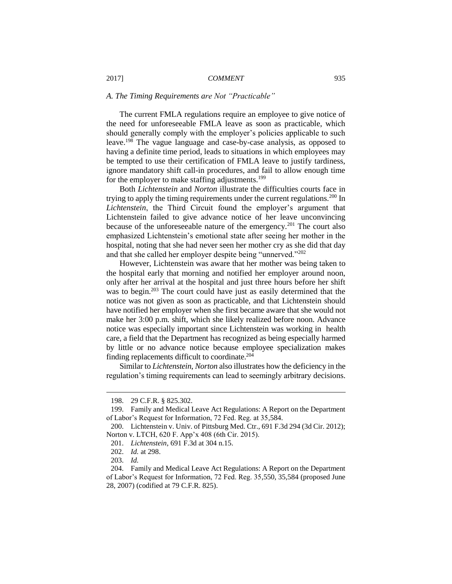#### *A. The Timing Requirements are Not "Practicable"*

The current FMLA regulations require an employee to give notice of the need for unforeseeable FMLA leave as soon as practicable, which should generally comply with the employer's policies applicable to such leave.<sup>198</sup> The vague language and case-by-case analysis, as opposed to having a definite time period, leads to situations in which employees may be tempted to use their certification of FMLA leave to justify tardiness, ignore mandatory shift call-in procedures, and fail to allow enough time for the employer to make staffing adjustments.<sup>199</sup>

Both *Lichtenstein* and *Norton* illustrate the difficulties courts face in trying to apply the timing requirements under the current regulations.<sup>200</sup> In *Lichtenstein*, the Third Circuit found the employer's argument that Lichtenstein failed to give advance notice of her leave unconvincing because of the unforeseeable nature of the emergency.<sup>201</sup> The court also emphasized Lichtenstein's emotional state after seeing her mother in the hospital, noting that she had never seen her mother cry as she did that day and that she called her employer despite being "unnerved."<sup>202</sup>

However, Lichtenstein was aware that her mother was being taken to the hospital early that morning and notified her employer around noon, only after her arrival at the hospital and just three hours before her shift was to begin.<sup>203</sup> The court could have just as easily determined that the notice was not given as soon as practicable, and that Lichtenstein should have notified her employer when she first became aware that she would not make her 3:00 p.m. shift, which she likely realized before noon. Advance notice was especially important since Lichtenstein was working in health care, a field that the Department has recognized as being especially harmed by little or no advance notice because employee specialization makes finding replacements difficult to coordinate.<sup>204</sup>

Similar to *Lichtenstein*, *Norton* also illustrates how the deficiency in the regulation's timing requirements can lead to seemingly arbitrary decisions.

<sup>198.</sup> 29 C.F.R. § 825.302.

<sup>199.</sup> Family and Medical Leave Act Regulations: A Report on the Department of Labor's Request for Information, 72 Fed. Reg. at 35,584.

<sup>200.</sup> Lichtenstein v. Univ. of Pittsburg Med. Ctr., 691 F.3d 294 (3d Cir. 2012); Norton v. LTCH, 620 F. App'x 408 (6th Cir. 2015).

<sup>201.</sup> *Lichtenstein*, 691 F.3d at 304 n.15.

<sup>202.</sup> *Id.* at 298.

<sup>203.</sup> *Id.*

<sup>204.</sup> Family and Medical Leave Act Regulations: A Report on the Department of Labor's Request for Information, 72 Fed. Reg. 35,550, 35,584 (proposed June 28, 2007) (codified at 79 C.F.R. 825).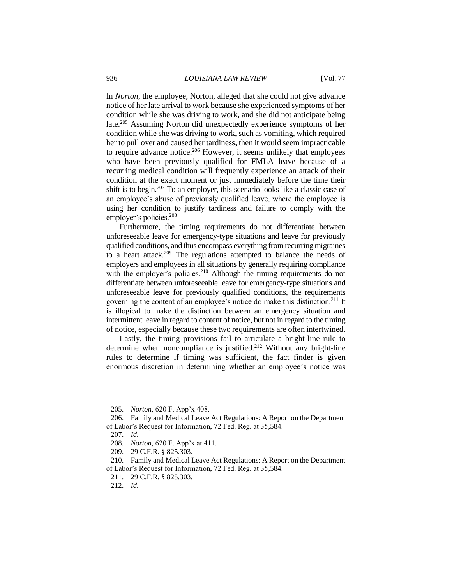In *Norton*, the employee, Norton, alleged that she could not give advance notice of her late arrival to work because she experienced symptoms of her condition while she was driving to work, and she did not anticipate being late.<sup>205</sup> Assuming Norton did unexpectedly experience symptoms of her condition while she was driving to work, such as vomiting, which required her to pull over and caused her tardiness, then it would seem impracticable to require advance notice.<sup>206</sup> However, it seems unlikely that employees who have been previously qualified for FMLA leave because of a recurring medical condition will frequently experience an attack of their condition at the exact moment or just immediately before the time their shift is to begin.<sup>207</sup> To an employer, this scenario looks like a classic case of an employee's abuse of previously qualified leave, where the employee is using her condition to justify tardiness and failure to comply with the employer's policies.<sup>208</sup>

Furthermore, the timing requirements do not differentiate between unforeseeable leave for emergency-type situations and leave for previously qualified conditions, and thus encompass everything from recurring migraines to a heart attack.<sup>209</sup> The regulations attempted to balance the needs of employers and employees in all situations by generally requiring compliance with the employer's policies. $210$  Although the timing requirements do not differentiate between unforeseeable leave for emergency-type situations and unforeseeable leave for previously qualified conditions, the requirements governing the content of an employee's notice do make this distinction.<sup>211</sup> It is illogical to make the distinction between an emergency situation and intermittent leave in regard to content of notice, but not in regard to the timing of notice, especially because these two requirements are often intertwined.

Lastly, the timing provisions fail to articulate a bright-line rule to determine when noncompliance is justified.<sup>212</sup> Without any bright-line rules to determine if timing was sufficient, the fact finder is given enormous discretion in determining whether an employee's notice was

<sup>205.</sup> *Norton*, 620 F. App'x 408.

<sup>206.</sup> Family and Medical Leave Act Regulations: A Report on the Department of Labor's Request for Information, 72 Fed. Reg. at 35,584.

<sup>207.</sup> *Id.*

<sup>208.</sup> *Norton*, 620 F. App'x at 411.

<sup>209.</sup> 29 C.F.R. § 825.303.

<sup>210.</sup> Family and Medical Leave Act Regulations: A Report on the Department of Labor's Request for Information, 72 Fed. Reg. at 35,584.

<sup>211.</sup> 29 C.F.R. § 825.303.

<sup>212.</sup> *Id.*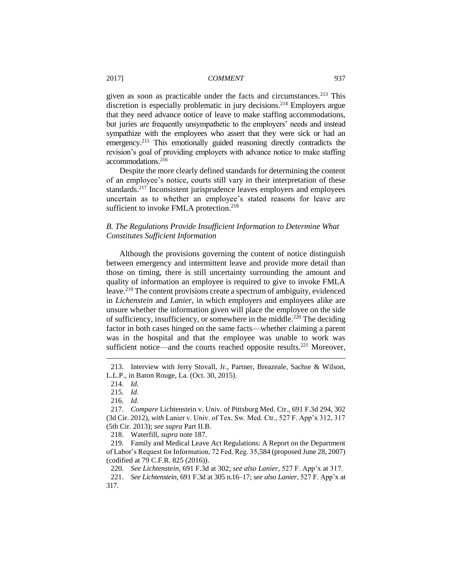given as soon as practicable under the facts and circumstances.<sup>213</sup> This discretion is especially problematic in jury decisions.<sup>214</sup> Employers argue that they need advance notice of leave to make staffing accommodations, but juries are frequently unsympathetic to the employers' needs and instead sympathize with the employees who assert that they were sick or had an emergency.<sup>215</sup> This emotionally guided reasoning directly contradicts the revision's goal of providing employers with advance notice to make staffing accommodations.<sup>216</sup>

Despite the more clearly defined standards for determining the content of an employee's notice, courts still vary in their interpretation of these standards.<sup>217</sup> Inconsistent jurisprudence leaves employers and employees uncertain as to whether an employee's stated reasons for leave are sufficient to invoke FMLA protection.<sup>218</sup>

# *B. The Regulations Provide Insufficient Information to Determine What Constitutes Sufficient Information*

Although the provisions governing the content of notice distinguish between emergency and intermittent leave and provide more detail than those on timing, there is still uncertainty surrounding the amount and quality of information an employee is required to give to invoke FMLA leave.<sup>219</sup> The content provisions create a spectrum of ambiguity, evidenced in *Lichenstein* and *Lanier*, in which employers and employees alike are unsure whether the information given will place the employee on the side of sufficiency, insufficiency, or somewhere in the middle.<sup>220</sup> The deciding factor in both cases hinged on the same facts—whether claiming a parent was in the hospital and that the employee was unable to work was sufficient notice—and the courts reached opposite results.<sup>221</sup> Moreover,

 $\overline{a}$ 

218. Waterfill, *supra* note 187.

219. Family and Medical Leave Act Regulations: A Report on the Department of Labor's Request for Information, 72 Fed. Reg. 35,584 (proposed June 28, 2007) (codified at 79 C.F.R. 825 (2016)).

220. *See Lichtenstein*, 691 F.3d at 302; *see also Lanier*, 527 F. App'x at 317.

221. *See Lichtenstein*, 691 F.3d at 305 n.16–17; *see also Lanier*, 527 F. App'x at 317.

<sup>213.</sup> Interview with Jerry Stovall, Jr., Partner, Breazeale, Sachse & Wilson, L.L.P., in Baton Rouge, La. (Oct. 30, 2015).

<sup>214.</sup> *Id.*

<sup>215.</sup> *Id.*

<sup>216.</sup> *Id.*

<sup>217.</sup> *Compare* Lichtenstein v. Univ. of Pittsburg Med. Ctr., 691 F.3d 294, 302 (3d Cir. 2012), *with* Lanier v. Univ. of Tex. Sw. Med. Ctr., 527 F. App'x 312, 317 (5th Cir. 2013); *see supra* Part II.B.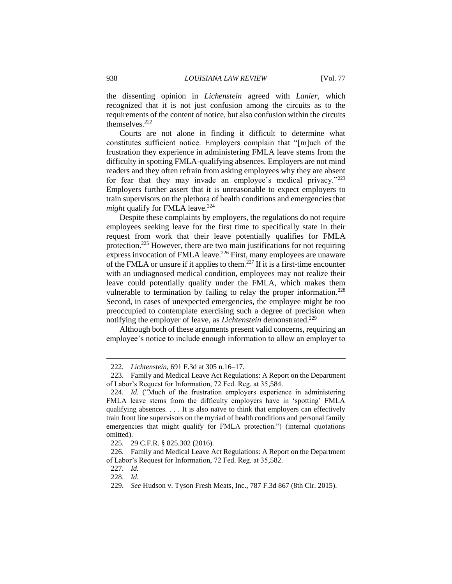the dissenting opinion in *Lichenstein* agreed with *Lanier*, which recognized that it is not just confusion among the circuits as to the requirements of the content of notice, but also confusion within the circuits themselves*. 222*

Courts are not alone in finding it difficult to determine what constitutes sufficient notice. Employers complain that "[m]uch of the frustration they experience in administering FMLA leave stems from the difficulty in spotting FMLA-qualifying absences. Employers are not mind readers and they often refrain from asking employees why they are absent for fear that they may invade an employee's medical privacy."<sup>223</sup> Employers further assert that it is unreasonable to expect employers to train supervisors on the plethora of health conditions and emergencies that *might* qualify for FMLA leave.<sup>224</sup>

Despite these complaints by employers, the regulations do not require employees seeking leave for the first time to specifically state in their request from work that their leave potentially qualifies for FMLA protection. <sup>225</sup> However, there are two main justifications for not requiring express invocation of FMLA leave.<sup>226</sup> First, many employees are unaware of the FMLA or unsure if it applies to them.<sup>227</sup> If it is a first-time encounter with an undiagnosed medical condition, employees may not realize their leave could potentially qualify under the FMLA, which makes them vulnerable to termination by failing to relay the proper information.<sup>228</sup> Second, in cases of unexpected emergencies, the employee might be too preoccupied to contemplate exercising such a degree of precision when notifying the employer of leave, as *Lichtenstein* demonstrated.<sup>229</sup>

Although both of these arguments present valid concerns, requiring an employee's notice to include enough information to allow an employer to

<sup>222.</sup> *Lichtenstein*, 691 F.3d at 305 n.16–17.

<sup>223.</sup> Family and Medical Leave Act Regulations: A Report on the Department of Labor's Request for Information, 72 Fed. Reg. at 35,584.

<sup>224.</sup> *Id.* ("Much of the frustration employers experience in administering FMLA leave stems from the difficulty employers have in 'spotting' FMLA qualifying absences. . . . It is also naïve to think that employers can effectively train front line supervisors on the myriad of health conditions and personal family emergencies that might qualify for FMLA protection.") (internal quotations omitted).

<sup>225.</sup> 29 C.F.R. § 825.302 (2016).

<sup>226.</sup> Family and Medical Leave Act Regulations: A Report on the Department of Labor's Request for Information, 72 Fed. Reg. at 35,582.

<sup>227.</sup> *Id.*

<sup>228.</sup> *Id.*

<sup>229.</sup> *See* Hudson v. Tyson Fresh Meats, Inc., 787 F.3d 867 (8th Cir. 2015).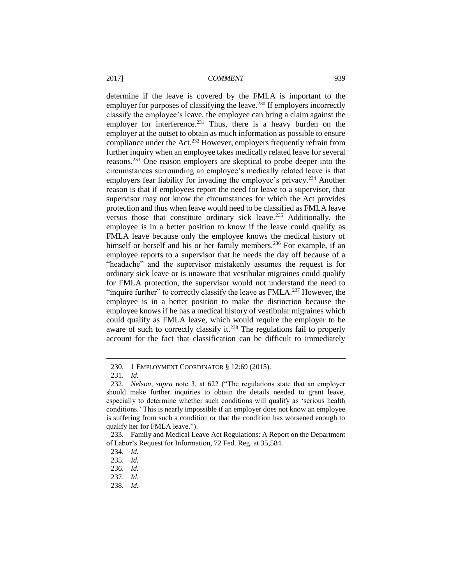determine if the leave is covered by the FMLA is important to the employer for purposes of classifying the leave.<sup>230</sup> If employers incorrectly classify the employee's leave, the employee can bring a claim against the employer for interference.<sup>231</sup> Thus, there is a heavy burden on the employer at the outset to obtain as much information as possible to ensure compliance under the Act.<sup>232</sup> However, employers frequently refrain from further inquiry when an employee takes medically related leave for several reasons.<sup>233</sup> One reason employers are skeptical to probe deeper into the circumstances surrounding an employee's medically related leave is that employers fear liability for invading the employee's privacy.<sup>234</sup> Another reason is that if employees report the need for leave to a supervisor, that supervisor may not know the circumstances for which the Act provides protection and thus when leave would need to be classified as FMLA leave versus those that constitute ordinary sick leave.<sup>235</sup> Additionally, the employee is in a better position to know if the leave could qualify as FMLA leave because only the employee knows the medical history of himself or herself and his or her family members.<sup>236</sup> For example, if an employee reports to a supervisor that he needs the day off because of a "headache" and the supervisor mistakenly assumes the request is for ordinary sick leave or is unaware that vestibular migraines could qualify for FMLA protection, the supervisor would not understand the need to "inquire further" to correctly classify the leave as  $\text{FMLA}.^{237}$  However, the employee is in a better position to make the distinction because the employee knows if he has a medical history of vestibular migraines which could qualify as FMLA leave, which would require the employer to be aware of such to correctly classify it.<sup>238</sup> The regulations fail to properly account for the fact that classification can be difficult to immediately

<sup>230.</sup> 1 EMPLOYMENT COORDINATOR § 12:69 (2015).

<sup>231.</sup> *Id.*

<sup>232.</sup> *Nelson*, *supra* note 3, at 622 ("The regulations state that an employer should make further inquiries to obtain the details needed to grant leave, especially to determine whether such conditions will qualify as 'serious health conditions.' This is nearly impossible if an employer does not know an employee is suffering from such a condition or that the condition has worsened enough to qualify her for FMLA leave.").

<sup>233.</sup> Family and Medical Leave Act Regulations: A Report on the Department of Labor's Request for Information, 72 Fed. Reg. at 35,584.

<sup>234.</sup> *Id.*

<sup>235.</sup> *Id.*

<sup>236.</sup> *Id.*

<sup>237.</sup> *Id.*

<sup>238.</sup> *Id.*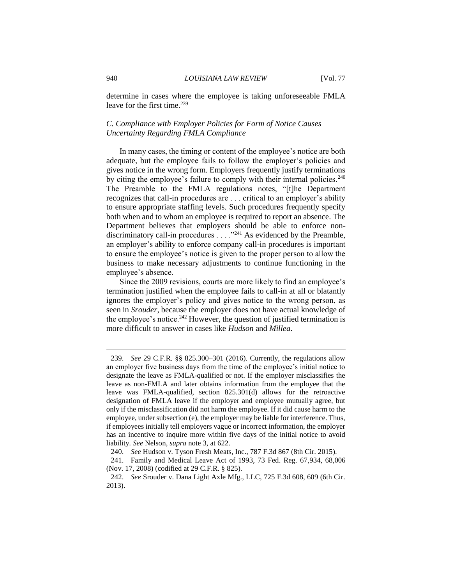determine in cases where the employee is taking unforeseeable FMLA leave for the first time.<sup>239</sup>

### *C. Compliance with Employer Policies for Form of Notice Causes Uncertainty Regarding FMLA Compliance*

In many cases, the timing or content of the employee's notice are both adequate, but the employee fails to follow the employer's policies and gives notice in the wrong form. Employers frequently justify terminations by citing the employee's failure to comply with their internal policies.<sup>240</sup> The Preamble to the FMLA regulations notes, "[t]he Department recognizes that call-in procedures are . . . critical to an employer's ability to ensure appropriate staffing levels. Such procedures frequently specify both when and to whom an employee is required to report an absence. The Department believes that employers should be able to enforce nondiscriminatory call-in procedures  $\dots$  ."<sup>241</sup> As evidenced by the Preamble, an employer's ability to enforce company call-in procedures is important to ensure the employee's notice is given to the proper person to allow the business to make necessary adjustments to continue functioning in the employee's absence.

Since the 2009 revisions, courts are more likely to find an employee's termination justified when the employee fails to call-in at all or blatantly ignores the employer's policy and gives notice to the wrong person, as seen in *Srouder*, because the employer does not have actual knowledge of the employee's notice.<sup>242</sup> However, the question of justified termination is more difficult to answer in cases like *Hudson* and *Millea*.

<sup>239.</sup> *See* 29 C.F.R. §§ 825.300–301 (2016). Currently, the regulations allow an employer five business days from the time of the employee's initial notice to designate the leave as FMLA-qualified or not. If the employer misclassifies the leave as non-FMLA and later obtains information from the employee that the leave was FMLA-qualified, section 825.301(d) allows for the retroactive designation of FMLA leave if the employer and employee mutually agree, but only if the misclassification did not harm the employee. If it did cause harm to the employee, under subsection (e), the employer may be liable for interference. Thus, if employees initially tell employers vague or incorrect information, the employer has an incentive to inquire more within five days of the initial notice to avoid liability. *See* Nelson, *supra* note 3, at 622.

<sup>240.</sup> *See* Hudson v. Tyson Fresh Meats, Inc., 787 F.3d 867 (8th Cir. 2015).

<sup>241.</sup> Family and Medical Leave Act of 1993, 73 Fed. Reg. 67,934, 68,006 (Nov. 17, 2008) (codified at 29 C.F.R. § 825).

<sup>242.</sup> *See* Srouder v. Dana Light Axle Mfg., LLC, 725 F.3d 608, 609 (6th Cir. 2013).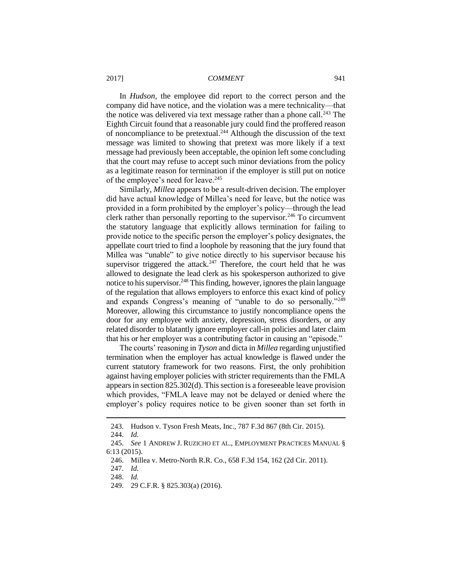In *Hudson*, the employee did report to the correct person and the company did have notice, and the violation was a mere technicality—that the notice was delivered via text message rather than a phone call.<sup>243</sup> The Eighth Circuit found that a reasonable jury could find the proffered reason of noncompliance to be pretextual.<sup>244</sup> Although the discussion of the text message was limited to showing that pretext was more likely if a text message had previously been acceptable, the opinion left some concluding that the court may refuse to accept such minor deviations from the policy as a legitimate reason for termination if the employer is still put on notice of the employee's need for leave.<sup>245</sup>

Similarly, *Millea* appears to be a result-driven decision. The employer did have actual knowledge of Millea's need for leave, but the notice was provided in a form prohibited by the employer's policy—through the lead clerk rather than personally reporting to the supervisor.<sup>246</sup> To circumvent the statutory language that explicitly allows termination for failing to provide notice to the specific person the employer's policy designates, the appellate court tried to find a loophole by reasoning that the jury found that Millea was "unable" to give notice directly to his supervisor because his supervisor triggered the attack.<sup>247</sup> Therefore, the court held that he was allowed to designate the lead clerk as his spokesperson authorized to give notice to his supervisor.<sup>248</sup> This finding, however, ignores the plain language of the regulation that allows employers to enforce this exact kind of policy and expands Congress's meaning of "unable to do so personally."<sup>249</sup> Moreover, allowing this circumstance to justify noncompliance opens the door for any employee with anxiety, depression, stress disorders, or any related disorder to blatantly ignore employer call-in policies and later claim that his or her employer was a contributing factor in causing an "episode."

The courts' reasoning in *Tyson* and dicta in *Millea* regarding unjustified termination when the employer has actual knowledge is flawed under the current statutory framework for two reasons. First, the only prohibition against having employer policies with stricter requirements than the FMLA appears in section 825.302(d). This section is a foreseeable leave provision which provides, "FMLA leave may not be delayed or denied where the employer's policy requires notice to be given sooner than set forth in

<sup>243.</sup> Hudson v. Tyson Fresh Meats, Inc., 787 F.3d 867 (8th Cir. 2015).

<sup>244.</sup> *Id.*

<sup>245.</sup> *See* 1 ANDREW J. RUZICHO ET AL., EMPLOYMENT PRACTICES MANUAL § 6:13 (2015).

<sup>246.</sup> Millea v. Metro-North R.R. Co., 658 F.3d 154, 162 (2d Cir. 2011).

<sup>247.</sup> *Id.*

<sup>248.</sup> *Id.*

<sup>249.</sup> 29 C.F.R. § 825.303(a) (2016).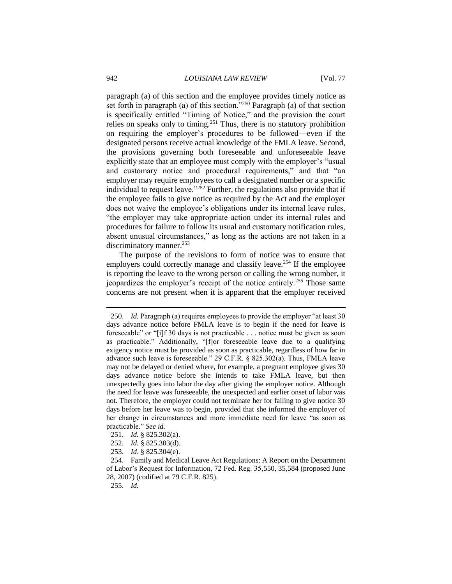paragraph (a) of this section and the employee provides timely notice as set forth in paragraph (a) of this section."<sup>250</sup> Paragraph (a) of that section is specifically entitled "Timing of Notice," and the provision the court relies on speaks only to timing.<sup>251</sup> Thus, there is no statutory prohibition on requiring the employer's procedures to be followed—even if the designated persons receive actual knowledge of the FMLA leave. Second, the provisions governing both foreseeable and unforeseeable leave explicitly state that an employee must comply with the employer's "usual and customary notice and procedural requirements," and that "an employer may require employees to call a designated number or a specific individual to request leave." $252$  Further, the regulations also provide that if the employee fails to give notice as required by the Act and the employer does not waive the employee's obligations under its internal leave rules, "the employer may take appropriate action under its internal rules and procedures for failure to follow its usual and customary notification rules, absent unusual circumstances," as long as the actions are not taken in a discriminatory manner.<sup>253</sup>

The purpose of the revisions to form of notice was to ensure that employers could correctly manage and classify leave.<sup>254</sup> If the employee is reporting the leave to the wrong person or calling the wrong number, it jeopardizes the employer's receipt of the notice entirely.<sup>255</sup> Those same concerns are not present when it is apparent that the employer received

- 251. *Id.* § 825.302(a).
- 252. *Id.* § 825.303(d).
- 253. *Id*. § 825.304(e).

<sup>250.</sup> *Id.* Paragraph (a) requires employees to provide the employer "at least 30 days advance notice before FMLA leave is to begin if the need for leave is foreseeable" or "[i]f 30 days is not practicable . . . notice must be given as soon as practicable." Additionally, "[f]or foreseeable leave due to a qualifying exigency notice must be provided as soon as practicable, regardless of how far in advance such leave is foreseeable." 29 C.F.R. § 825.302(a). Thus, FMLA leave may not be delayed or denied where, for example, a pregnant employee gives 30 days advance notice before she intends to take FMLA leave, but then unexpectedly goes into labor the day after giving the employer notice. Although the need for leave was foreseeable, the unexpected and earlier onset of labor was not. Therefore, the employer could not terminate her for failing to give notice 30 days before her leave was to begin, provided that she informed the employer of her change in circumstances and more immediate need for leave "as soon as practicable." *See id.*

<sup>254.</sup> Family and Medical Leave Act Regulations: A Report on the Department of Labor's Request for Information, 72 Fed. Reg. 35,550, 35,584 (proposed June 28, 2007) (codified at 79 C.F.R. 825).

<sup>255.</sup> *Id.*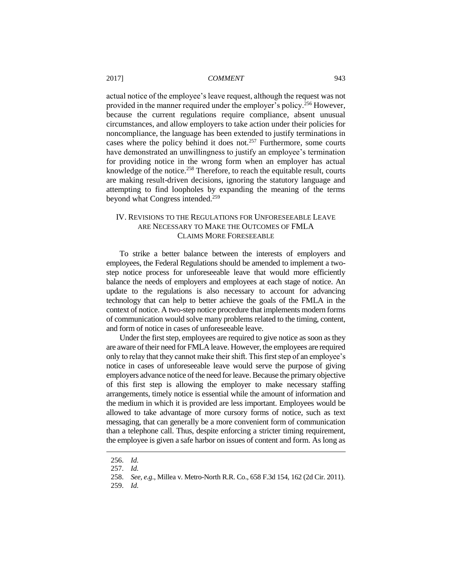actual notice of the employee's leave request, although the request was not provided in the manner required under the employer's policy.<sup>256</sup> However, because the current regulations require compliance, absent unusual circumstances, and allow employers to take action under their policies for noncompliance, the language has been extended to justify terminations in cases where the policy behind it does not.<sup>257</sup> Furthermore, some courts have demonstrated an unwillingness to justify an employee's termination for providing notice in the wrong form when an employer has actual knowledge of the notice.<sup>258</sup> Therefore, to reach the equitable result, courts are making result-driven decisions, ignoring the statutory language and attempting to find loopholes by expanding the meaning of the terms beyond what Congress intended.<sup>259</sup>

# IV. REVISIONS TO THE REGULATIONS FOR UNFORESEEABLE LEAVE ARE NECESSARY TO MAKE THE OUTCOMES OF FMLA CLAIMS MORE FORESEEABLE

To strike a better balance between the interests of employers and employees, the Federal Regulations should be amended to implement a twostep notice process for unforeseeable leave that would more efficiently balance the needs of employers and employees at each stage of notice. An update to the regulations is also necessary to account for advancing technology that can help to better achieve the goals of the FMLA in the context of notice. A two-step notice procedure that implements modern forms of communication would solve many problems related to the timing, content, and form of notice in cases of unforeseeable leave.

Under the first step, employees are required to give notice as soon as they are aware of their need for FMLA leave. However, the employees are required only to relay that they cannot make their shift. This first step of an employee's notice in cases of unforeseeable leave would serve the purpose of giving employers advance notice of the need for leave. Because the primary objective of this first step is allowing the employer to make necessary staffing arrangements, timely notice is essential while the amount of information and the medium in which it is provided are less important. Employees would be allowed to take advantage of more cursory forms of notice, such as text messaging, that can generally be a more convenient form of communication than a telephone call. Thus, despite enforcing a stricter timing requirement, the employee is given a safe harbor on issues of content and form. As long as

<sup>256.</sup> *Id.*

<sup>257.</sup> *Id.*

<sup>258.</sup> *See, e.g.*, Millea v. Metro-North R.R. Co., 658 F.3d 154, 162 (2d Cir. 2011).

<sup>259.</sup> *Id.*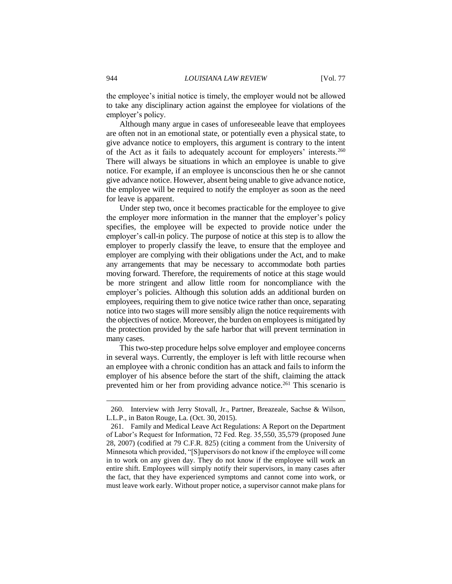the employee's initial notice is timely, the employer would not be allowed to take any disciplinary action against the employee for violations of the employer's policy.

Although many argue in cases of unforeseeable leave that employees are often not in an emotional state, or potentially even a physical state, to give advance notice to employers, this argument is contrary to the intent of the Act as it fails to adequately account for employers' interests.<sup>260</sup> There will always be situations in which an employee is unable to give notice. For example, if an employee is unconscious then he or she cannot give advance notice. However, absent being unable to give advance notice, the employee will be required to notify the employer as soon as the need for leave is apparent.

Under step two, once it becomes practicable for the employee to give the employer more information in the manner that the employer's policy specifies, the employee will be expected to provide notice under the employer's call-in policy. The purpose of notice at this step is to allow the employer to properly classify the leave, to ensure that the employee and employer are complying with their obligations under the Act, and to make any arrangements that may be necessary to accommodate both parties moving forward. Therefore, the requirements of notice at this stage would be more stringent and allow little room for noncompliance with the employer's policies. Although this solution adds an additional burden on employees, requiring them to give notice twice rather than once, separating notice into two stages will more sensibly align the notice requirements with the objectives of notice. Moreover, the burden on employees is mitigated by the protection provided by the safe harbor that will prevent termination in many cases.

This two-step procedure helps solve employer and employee concerns in several ways. Currently, the employer is left with little recourse when an employee with a chronic condition has an attack and fails to inform the employer of his absence before the start of the shift, claiming the attack prevented him or her from providing advance notice.<sup>261</sup> This scenario is

<sup>260.</sup> Interview with Jerry Stovall, Jr., Partner, Breazeale, Sachse & Wilson, L.L.P., in Baton Rouge, La. (Oct. 30, 2015).

<sup>261.</sup> Family and Medical Leave Act Regulations: A Report on the Department of Labor's Request for Information, 72 Fed. Reg. 35,550, 35,579 (proposed June 28, 2007) (codified at 79 C.F.R. 825) (citing a comment from the University of Minnesota which provided, "[S]upervisors do not know if the employee will come in to work on any given day. They do not know if the employee will work an entire shift. Employees will simply notify their supervisors, in many cases after the fact, that they have experienced symptoms and cannot come into work, or must leave work early. Without proper notice, a supervisor cannot make plans for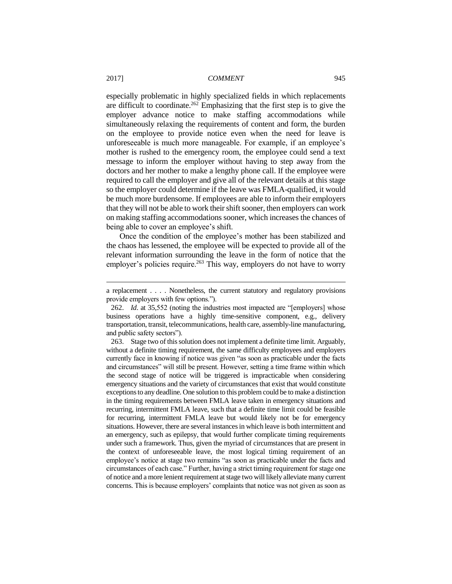especially problematic in highly specialized fields in which replacements are difficult to coordinate.<sup>262</sup> Emphasizing that the first step is to give the employer advance notice to make staffing accommodations while simultaneously relaxing the requirements of content and form, the burden on the employee to provide notice even when the need for leave is unforeseeable is much more manageable. For example, if an employee's mother is rushed to the emergency room, the employee could send a text message to inform the employer without having to step away from the doctors and her mother to make a lengthy phone call. If the employee were required to call the employer and give all of the relevant details at this stage so the employer could determine if the leave was FMLA-qualified, it would be much more burdensome. If employees are able to inform their employers that they will not be able to work their shift sooner, then employers can work on making staffing accommodations sooner, which increases the chances of being able to cover an employee's shift.

Once the condition of the employee's mother has been stabilized and the chaos has lessened, the employee will be expected to provide all of the relevant information surrounding the leave in the form of notice that the employer's policies require.<sup>263</sup> This way, employers do not have to worry

a replacement . . . . Nonetheless, the current statutory and regulatory provisions provide employers with few options.").

<sup>262.</sup> *Id*. at 35,552 (noting the industries most impacted are "[employers] whose business operations have a highly time-sensitive component, e.g., delivery transportation, transit, telecommunications, health care, assembly-line manufacturing, and public safety sectors").

<sup>263.</sup> Stage two of this solution does not implement a definite time limit. Arguably, without a definite timing requirement, the same difficulty employees and employers currently face in knowing if notice was given "as soon as practicable under the facts and circumstances" will still be present. However, setting a time frame within which the second stage of notice will be triggered is impracticable when considering emergency situations and the variety of circumstances that exist that would constitute exceptions to any deadline. One solution to this problem could be to make a distinction in the timing requirements between FMLA leave taken in emergency situations and recurring, intermittent FMLA leave, such that a definite time limit could be feasible for recurring, intermittent FMLA leave but would likely not be for emergency situations. However, there are several instances in which leave is both intermittent and an emergency, such as epilepsy, that would further complicate timing requirements under such a framework. Thus, given the myriad of circumstances that are present in the context of unforeseeable leave, the most logical timing requirement of an employee's notice at stage two remains "as soon as practicable under the facts and circumstances of each case." Further, having a strict timing requirement for stage one of notice and a more lenient requirement at stage two will likely alleviate many current concerns. This is because employers' complaints that notice was not given as soon as